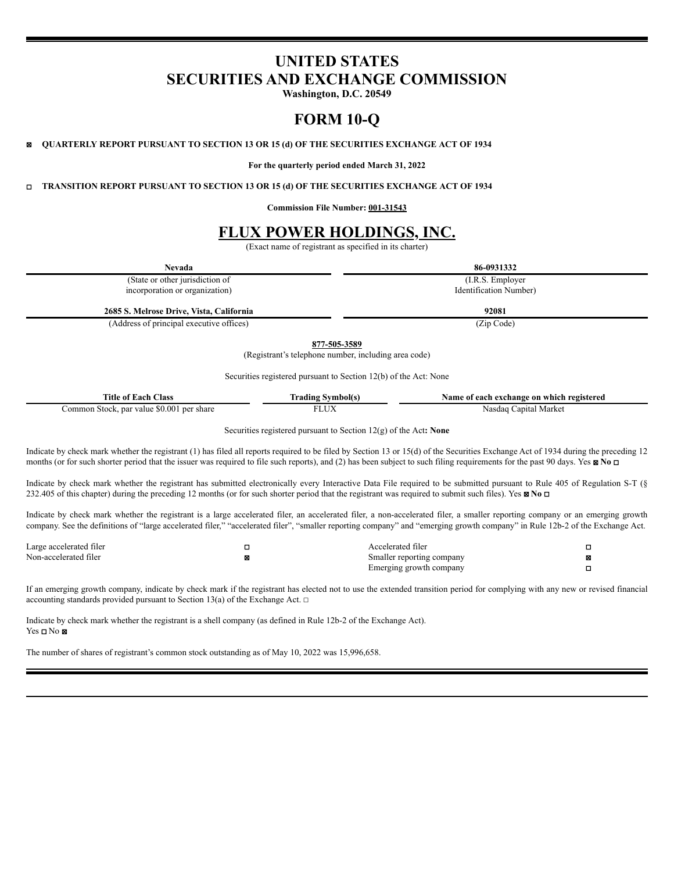# **UNITED STATES SECURITIES AND EXCHANGE COMMISSION**

**Washington, D.C. 20549**

# **FORM 10-Q**

☒ **QUARTERLY REPORT PURSUANT TO SECTION 13 OR 15 (d) OF THE SECURITIES EXCHANGE ACT OF 1934**

**For the quarterly period ended March 31, 2022**

☐ **TRANSITION REPORT PURSUANT TO SECTION 13 OR 15 (d) OF THE SECURITIES EXCHANGE ACT OF 1934**

**Commission File Number: 001-31543**

# **FLUX POWER HOLDINGS, INC.**

(Exact name of registrant as specified in its charter)

| Nevada                                                               | 86-0931332             |
|----------------------------------------------------------------------|------------------------|
| (State or other jurisdiction of                                      | (I.R.S. Employer)      |
| incorporation or organization)                                       | Identification Number) |
| 2685 S. Melrose Drive, Vista, California                             | 92081                  |
| (Address of principal executive offices)                             | (Zip Code)             |
| 877-505-3589<br>(Registrant's telephone number, including area code) |                        |

Securities registered pursuant to Section 12(b) of the Act: None

| ritle of<br>-lass<br>∴ach                                    | Symbol(s)<br>Frading | 't each exchange on which registered<br>Name of |
|--------------------------------------------------------------|----------------------|-------------------------------------------------|
| \$0.001<br>$\sim$<br>per share<br>par value<br>Common Stock. | LU 4                 | Market<br>⊇apıtal<br>Nasdaq                     |

Securities registered pursuant to Section 12(g) of the Act**: None**

Indicate by check mark whether the registrant (1) has filed all reports required to be filed by Section 13 or 15(d) of the Securities Exchange Act of 1934 during the preceding 12 months (or for such shorter period that the issuer was required to file such reports), and (2) has been subject to such filing requirements for the past 90 days. Yes **⊠ No** □

Indicate by check mark whether the registrant has submitted electronically every Interactive Data File required to be submitted pursuant to Rule 405 of Regulation S-T (§ 232.405 of this chapter) during the preceding 12 months (or for such shorter period that the registrant was required to submit such files). Yes  $\boxtimes$  No  $\Box$ 

Indicate by check mark whether the registrant is a large accelerated filer, an accelerated filer, a non-accelerated filer, a smaller reporting company or an emerging growth company. See the definitions of "large accelerated filer," "accelerated filer", "smaller reporting company" and "emerging growth company" in Rule 12b-2 of the Exchange Act.

| Large accelerated filer | Accelerated filer         |   |
|-------------------------|---------------------------|---|
| Non-accelerated filer   | Smaller reporting company | м |
|                         | Emerging growth company   |   |

If an emerging growth company, indicate by check mark if the registrant has elected not to use the extended transition period for complying with any new or revised financial accounting standards provided pursuant to Section 13(a) of the Exchange Act.  $\Box$ 

Indicate by check mark whether the registrant is a shell company (as defined in Rule 12b-2 of the Exchange Act). Yes □ No ⊠

The number of shares of registrant's common stock outstanding as of May 10, 2022 was 15,996,658.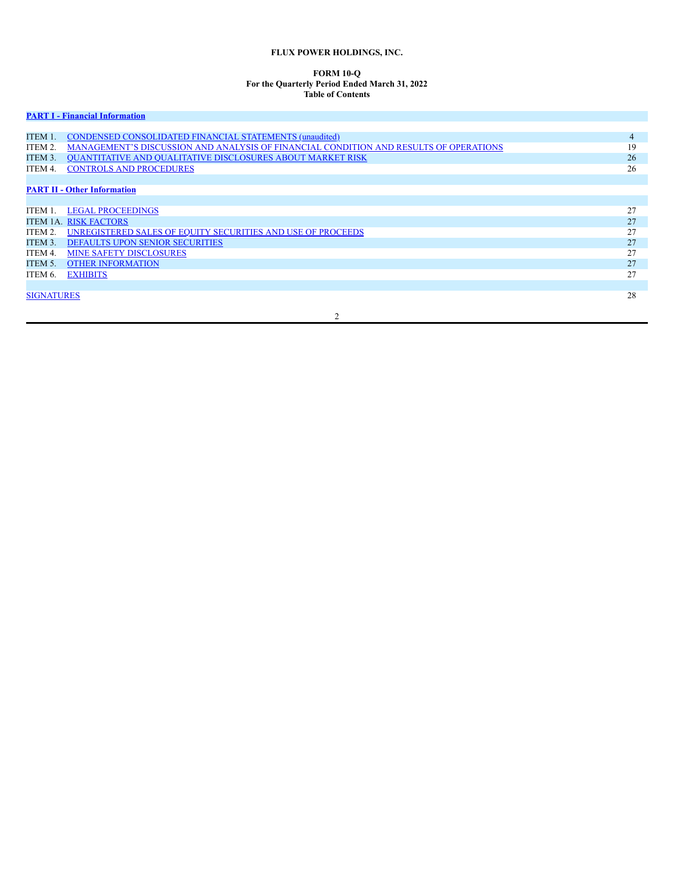# **FLUX POWER HOLDINGS, INC.**

#### **FORM 10-Q For the Quarterly Period Ended March 31, 2022 Table of Contents**

# **PART I - Financial [Information](#page-3-0)**

| ITEM 1.           | <b>CONDENSED CONSOLIDATED FINANCIAL STATEMENTS (unaudited)</b>                        |    |
|-------------------|---------------------------------------------------------------------------------------|----|
| ITEM 2.           | MANAGEMENT'S DISCUSSION AND ANALYSIS OF FINANCIAL CONDITION AND RESULTS OF OPERATIONS | 19 |
| ITEM 3.           | <b>OUANTITATIVE AND OUALITATIVE DISCLOSURES ABOUT MARKET RISK</b>                     | 26 |
| ITEM 4.           | <b>CONTROLS AND PROCEDURES</b>                                                        | 26 |
|                   |                                                                                       |    |
|                   | <b>PART II - Other Information</b>                                                    |    |
|                   |                                                                                       |    |
| ITEM 1.           | <b>LEGAL PROCEEDINGS</b>                                                              | 27 |
|                   | <b>ITEM 1A. RISK FACTORS</b>                                                          | 27 |
| ITEM 2.           | UNREGISTERED SALES OF EQUITY SECURITIES AND USE OF PROCEEDS                           | 27 |
| ITEM 3.           | DEFAULTS UPON SENIOR SECURITIES                                                       | 27 |
| ITEM 4.           | <b>MINE SAFETY DISCLOSURES</b>                                                        | 27 |
| ITEM 5.           | <b>OTHER INFORMATION</b>                                                              | 27 |
| ITEM 6.           | <b>EXHIBITS</b>                                                                       | 27 |
|                   |                                                                                       |    |
| <b>SIGNATURES</b> |                                                                                       | 28 |
|                   |                                                                                       |    |
|                   | ◠                                                                                     |    |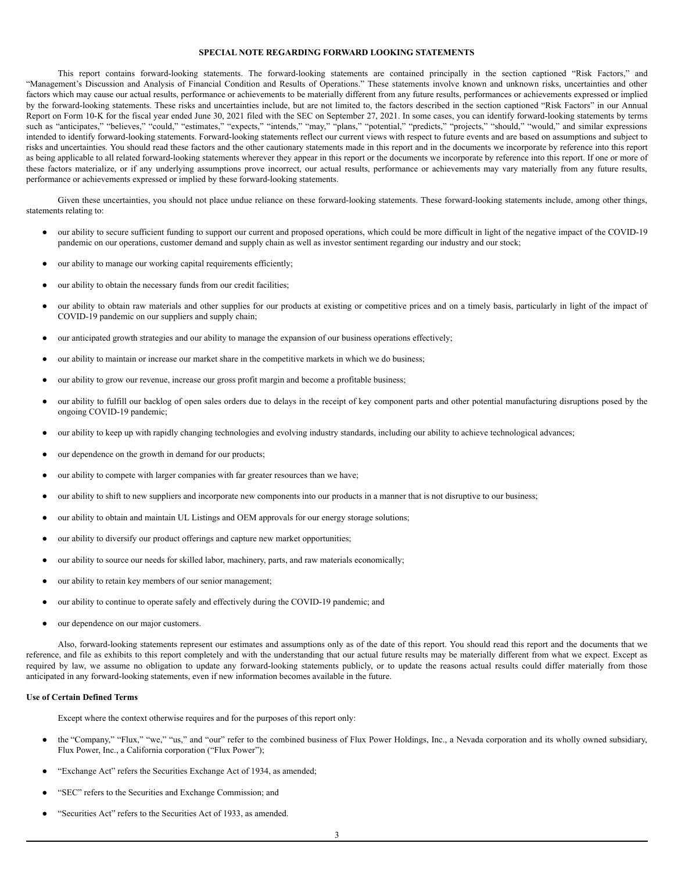#### **SPECIAL NOTE REGARDING FORWARD LOOKING STATEMENTS**

This report contains forward-looking statements. The forward-looking statements are contained principally in the section captioned "Risk Factors," and "Management's Discussion and Analysis of Financial Condition and Results of Operations." These statements involve known and unknown risks, uncertainties and other factors which may cause our actual results, performance or achievements to be materially different from any future results, performances or achievements expressed or implied by the forward-looking statements. These risks and uncertainties include, but are not limited to, the factors described in the section captioned "Risk Factors" in our Annual Report on Form 10-K for the fiscal year ended June 30, 2021 filed with the SEC on September 27, 2021. In some cases, you can identify forward-looking statements by terms such as "anticipates," "believes," "could," "estimates," "expects," "intends," "may," "plans," "potential," "predicts," "projects," "should," "would," and similar expressions intended to identify forward-looking statements. Forward-looking statements reflect our current views with respect to future events and are based on assumptions and subject to risks and uncertainties. You should read these factors and the other cautionary statements made in this report and in the documents we incorporate by reference into this report as being applicable to all related forward-looking statements wherever they appear in this report or the documents we incorporate by reference into this report. If one or more of these factors materialize, or if any underlying assumptions prove incorrect, our actual results, performance or achievements may vary materially from any future results, performance or achievements expressed or implied by these forward-looking statements.

Given these uncertainties, you should not place undue reliance on these forward-looking statements. These forward-looking statements include, among other things, statements relating to:

- our ability to secure sufficient funding to support our current and proposed operations, which could be more difficult in light of the negative impact of the COVID-19 pandemic on our operations, customer demand and supply chain as well as investor sentiment regarding our industry and our stock;
- our ability to manage our working capital requirements efficiently;
- our ability to obtain the necessary funds from our credit facilities;
- our ability to obtain raw materials and other supplies for our products at existing or competitive prices and on a timely basis, particularly in light of the impact of COVID-19 pandemic on our suppliers and supply chain;
- our anticipated growth strategies and our ability to manage the expansion of our business operations effectively;
- our ability to maintain or increase our market share in the competitive markets in which we do business;
- our ability to grow our revenue, increase our gross profit margin and become a profitable business;
- our ability to fulfill our backlog of open sales orders due to delays in the receipt of key component parts and other potential manufacturing disruptions posed by the ongoing COVID-19 pandemic;
- our ability to keep up with rapidly changing technologies and evolving industry standards, including our ability to achieve technological advances;
- our dependence on the growth in demand for our products;
- our ability to compete with larger companies with far greater resources than we have;
- our ability to shift to new suppliers and incorporate new components into our products in a manner that is not disruptive to our business;
- our ability to obtain and maintain UL Listings and OEM approvals for our energy storage solutions;
- our ability to diversify our product offerings and capture new market opportunities;
- our ability to source our needs for skilled labor, machinery, parts, and raw materials economically;
- our ability to retain key members of our senior management;
- our ability to continue to operate safely and effectively during the COVID-19 pandemic; and
- our dependence on our major customers.

Also, forward-looking statements represent our estimates and assumptions only as of the date of this report. You should read this report and the documents that we reference, and file as exhibits to this report completely and with the understanding that our actual future results may be materially different from what we expect. Except as required by law, we assume no obligation to update any forward-looking statements publicly, or to update the reasons actual results could differ materially from those anticipated in any forward-looking statements, even if new information becomes available in the future.

# **Use of Certain Defined Terms**

Except where the context otherwise requires and for the purposes of this report only:

- the "Company," "Flux," "we," "us," and "our" refer to the combined business of Flux Power Holdings, Inc., a Nevada corporation and its wholly owned subsidiary, Flux Power, Inc., a California corporation ("Flux Power");
- "Exchange Act" refers the Securities Exchange Act of 1934, as amended;
- "SEC" refers to the Securities and Exchange Commission; and
- "Securities Act" refers to the Securities Act of 1933, as amended.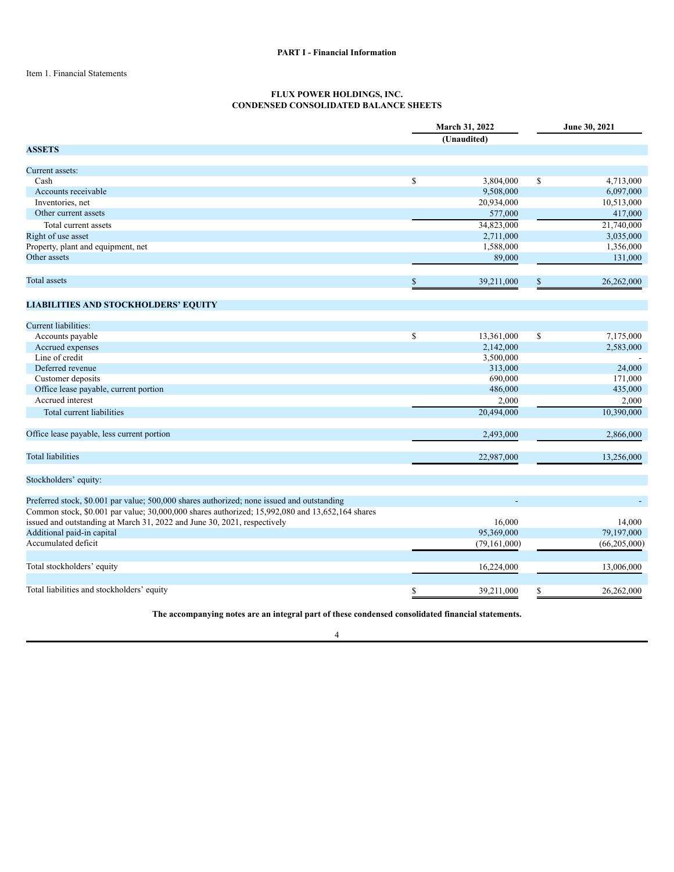# **FLUX POWER HOLDINGS, INC. CONDENSED CONSOLIDATED BALANCE SHEETS**

<span id="page-3-1"></span><span id="page-3-0"></span>

|                                                                                                 |             | March 31, 2022<br>(Unaudited) | June 30, 2021 |                |  |
|-------------------------------------------------------------------------------------------------|-------------|-------------------------------|---------------|----------------|--|
| <b>ASSETS</b>                                                                                   |             |                               |               |                |  |
| Current assets:                                                                                 |             |                               |               |                |  |
| Cash                                                                                            | $\mathbb S$ | 3,804,000                     | \$            | 4,713,000      |  |
| Accounts receivable                                                                             |             | 9,508,000                     |               | 6,097,000      |  |
| Inventories, net                                                                                |             | 20,934,000                    |               | 10,513,000     |  |
| Other current assets                                                                            |             | 577,000                       |               | 417,000        |  |
| Total current assets                                                                            |             | 34,823,000                    |               | 21,740,000     |  |
| Right of use asset                                                                              |             | 2,711,000                     |               | 3,035,000      |  |
| Property, plant and equipment, net                                                              |             | 1,588,000                     |               | 1,356,000      |  |
| Other assets                                                                                    |             | 89,000                        |               | 131,000        |  |
|                                                                                                 |             |                               |               |                |  |
| Total assets                                                                                    | \$          | 39,211,000                    | \$            | 26,262,000     |  |
|                                                                                                 |             |                               |               |                |  |
| <b>LIABILITIES AND STOCKHOLDERS' EQUITY</b>                                                     |             |                               |               |                |  |
| Current liabilities:                                                                            |             |                               |               |                |  |
| Accounts payable                                                                                | \$          | 13,361,000                    | \$            | 7,175,000      |  |
| Accrued expenses                                                                                |             | 2,142,000                     |               | 2,583,000      |  |
| Line of credit                                                                                  |             | 3,500,000                     |               |                |  |
| Deferred revenue                                                                                |             | 313,000                       |               | 24,000         |  |
| Customer deposits                                                                               |             | 690,000                       |               | 171,000        |  |
| Office lease payable, current portion                                                           |             | 486,000                       |               | 435,000        |  |
| Accrued interest                                                                                |             | 2,000                         |               | 2,000          |  |
| Total current liabilities                                                                       |             | 20,494,000                    |               | 10,390,000     |  |
|                                                                                                 |             |                               |               |                |  |
| Office lease payable, less current portion                                                      |             | 2,493,000                     |               | 2,866,000      |  |
| <b>Total liabilities</b>                                                                        |             | 22,987,000                    |               | 13,256,000     |  |
| Stockholders' equity:                                                                           |             |                               |               |                |  |
|                                                                                                 |             |                               |               |                |  |
| Preferred stock, \$0.001 par value; 500,000 shares authorized; none issued and outstanding      |             | ÷,                            |               |                |  |
| Common stock, \$0.001 par value; 30,000,000 shares authorized; 15,992,080 and 13,652,164 shares |             |                               |               |                |  |
| issued and outstanding at March 31, 2022 and June 30, 2021, respectively                        |             | 16,000                        |               | 14,000         |  |
| Additional paid-in capital                                                                      |             | 95,369,000                    |               | 79,197,000     |  |
| Accumulated deficit                                                                             |             | (79, 161, 000)                |               | (66, 205, 000) |  |
| Total stockholders' equity                                                                      |             | 16,224,000                    |               | 13,006,000     |  |
| Total liabilities and stockholders' equity                                                      |             |                               |               |                |  |
|                                                                                                 | \$          | 39,211,000                    | \$            | 26,262,000     |  |

**The accompanying notes are an integral part of these condensed consolidated financial statements.**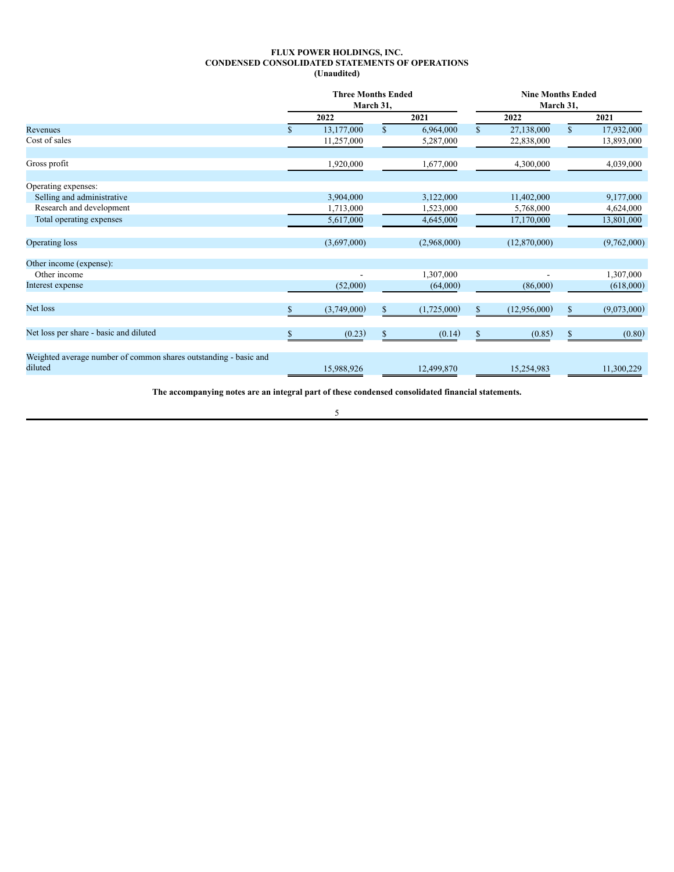# **FLUX POWER HOLDINGS, INC. CONDENSED CONSOLIDATED STATEMENTS OF OPERATIONS (Unaudited)**

|                                                                             | <b>Three Months Ended</b><br>March 31, |             |              |             |              | <b>Nine Months Ended</b><br>March 31, |              |             |
|-----------------------------------------------------------------------------|----------------------------------------|-------------|--------------|-------------|--------------|---------------------------------------|--------------|-------------|
|                                                                             |                                        | 2022        |              | 2021        |              | 2022                                  |              | 2021        |
| Revenues                                                                    |                                        | 13,177,000  | $\mathbb{S}$ | 6,964,000   | $\mathbb{S}$ | 27,138,000                            | \$           | 17,932,000  |
| Cost of sales                                                               |                                        | 11,257,000  |              | 5,287,000   |              | 22,838,000                            |              | 13,893,000  |
| Gross profit                                                                |                                        | 1,920,000   |              | 1,677,000   |              | 4,300,000                             |              | 4,039,000   |
| Operating expenses:                                                         |                                        |             |              |             |              |                                       |              |             |
| Selling and administrative                                                  |                                        | 3,904,000   |              | 3,122,000   |              | 11,402,000                            |              | 9,177,000   |
| Research and development                                                    |                                        | 1,713,000   |              | 1,523,000   |              | 5,768,000                             |              | 4,624,000   |
| Total operating expenses                                                    |                                        | 5,617,000   |              | 4,645,000   |              | 17,170,000                            |              | 13,801,000  |
| Operating loss                                                              |                                        | (3,697,000) |              | (2,968,000) |              | (12,870,000)                          |              | (9,762,000) |
| Other income (expense):                                                     |                                        |             |              |             |              |                                       |              |             |
| Other income                                                                |                                        |             |              | 1,307,000   |              |                                       |              | 1,307,000   |
| Interest expense                                                            |                                        | (52,000)    |              | (64,000)    |              | (86,000)                              |              | (618,000)   |
| Net loss                                                                    |                                        | (3,749,000) | \$.          | (1,725,000) | $\mathbb{S}$ | (12,956,000)                          | $\mathbb{S}$ | (9,073,000) |
| Net loss per share - basic and diluted                                      |                                        | (0.23)      | \$           | (0.14)      | $\mathbb{S}$ | (0.85)                                | $\mathbb{S}$ | (0.80)      |
| Weighted average number of common shares outstanding - basic and<br>diluted |                                        | 15,988,926  |              | 12,499,870  |              | 15,254,983                            |              | 11,300,229  |

**The accompanying notes are an integral part of these condensed consolidated financial statements.**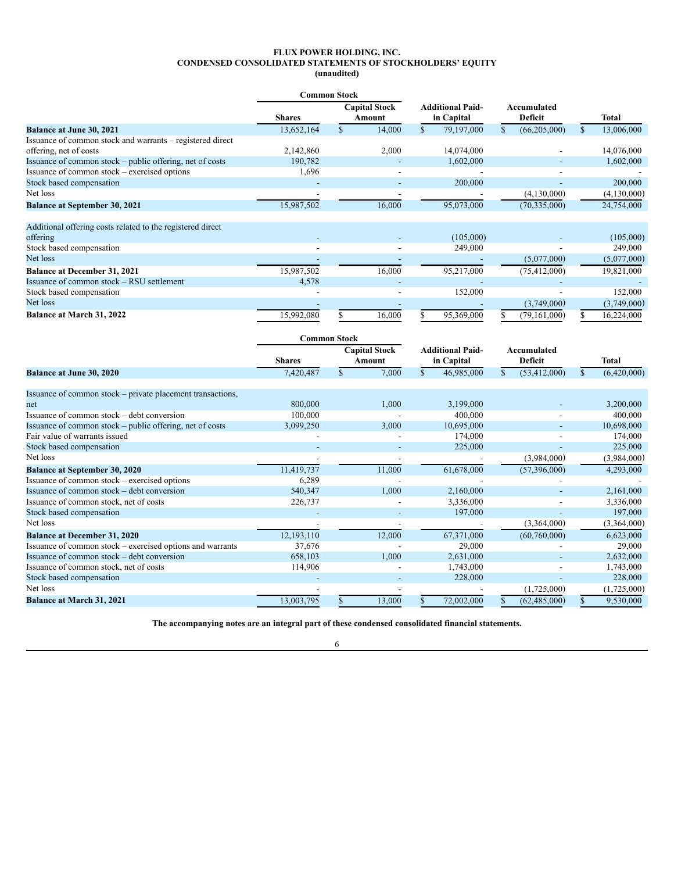# **FLUX POWER HOLDING, INC. CONDENSED CONSOLIDATED STATEMENTS OF STOCKHOLDERS' EQUITY (unaudited)**

|                                                            |                | <b>Common Stock</b> |                                |               |                                       |              |                               |              |              |
|------------------------------------------------------------|----------------|---------------------|--------------------------------|---------------|---------------------------------------|--------------|-------------------------------|--------------|--------------|
|                                                            | <b>Shares</b>  |                     | <b>Capital Stock</b><br>Amount |               | <b>Additional Paid-</b><br>in Capital |              | Accumulated<br><b>Deficit</b> |              | <b>Total</b> |
| <b>Balance at June 30, 2021</b>                            | 13,652,164     | $\mathbb{S}$        | 14,000                         | $\mathbf S$   | 79,197,000                            | $\mathbb{S}$ | (66, 205, 000)                | $\mathbb{S}$ | 13,006,000   |
| Issuance of common stock and warrants - registered direct  |                |                     |                                |               |                                       |              |                               |              |              |
| offering, net of costs                                     | 2,142,860      |                     | 2,000                          |               | 14,074,000                            |              |                               |              | 14,076,000   |
| Issuance of common stock - public offering, net of costs   | 190,782        |                     |                                |               | 1,602,000                             |              |                               |              | 1,602,000    |
| Issuance of common stock – exercised options               | 1,696          |                     |                                |               |                                       |              |                               |              |              |
| Stock based compensation                                   |                |                     |                                |               | 200,000                               |              |                               |              | 200,000      |
| Net loss                                                   |                |                     |                                |               |                                       |              | (4,130,000)                   |              | (4,130,000)  |
| <b>Balance at September 30, 2021</b>                       | 15,987,502     |                     | 16,000                         |               | 95,073,000                            |              | (70, 335, 000)                |              | 24,754,000   |
| Additional offering costs related to the registered direct |                |                     |                                |               |                                       |              |                               |              |              |
| offering                                                   |                |                     |                                |               | (105,000)                             |              |                               |              | (105,000)    |
| Stock based compensation                                   | $\overline{a}$ |                     |                                |               | 249,000                               |              |                               |              | 249,000      |
| Net loss                                                   |                |                     |                                |               |                                       |              | (5,077,000)                   |              | (5,077,000)  |
| <b>Balance at December 31, 2021</b>                        | 15,987,502     |                     | 16,000                         |               | 95,217,000                            |              | (75, 412, 000)                |              | 19,821,000   |
| Issuance of common stock – RSU settlement                  | 4,578          |                     |                                |               |                                       |              |                               |              |              |
| Stock based compensation                                   |                |                     |                                |               | 152,000                               |              | $\overline{a}$                |              | 152,000      |
| Net loss                                                   |                |                     |                                |               |                                       |              | (3,749,000)                   |              | (3,749,000)  |
| Balance at March 31, 2022                                  | 15,992,080     | \$                  | 16,000                         | \$            | 95,369,000                            | \$           | (79, 161, 000)                | \$           | 16,224,000   |
|                                                            |                |                     |                                |               |                                       |              |                               |              |              |
|                                                            |                | <b>Common Stock</b> |                                |               |                                       |              |                               |              |              |
|                                                            |                |                     | <b>Capital Stock</b>           |               | <b>Additional Paid-</b>               |              | Accumulated                   |              |              |
|                                                            | <b>Shares</b>  |                     | Amount                         |               | in Capital                            |              | <b>Deficit</b>                |              | Total        |
| <b>Balance at June 30, 2020</b>                            | 7,420,487      | <sup>\$</sup>       | 7.000                          | $\mathbf{\$}$ | 46,985,000                            | \$.          | (53, 412, 000)                | \$.          | (6,420,000)  |
| Issuance of common stock – private placement transactions, |                |                     |                                |               |                                       |              |                               |              |              |
| net                                                        | 800,000        |                     | 1,000                          |               | 3,199,000                             |              |                               |              | 3,200,000    |
| Issuance of common stock – debt conversion                 | 100,000        |                     |                                |               | 400,000                               |              |                               |              | 400,000      |
| Issuance of common stock – public offering, net of costs   | 3,099,250      |                     | 3,000                          |               | 10,695,000                            |              |                               |              | 10,698,000   |
| Fair value of warrants issued                              |                |                     |                                |               | 174,000                               |              |                               |              | 174,000      |
| Stock based compensation                                   |                |                     |                                |               | 225,000                               |              |                               |              | 225,000      |
| Net loss                                                   |                |                     |                                |               |                                       |              | (3,984,000)                   |              | (3,984,000)  |
| <b>Balance at September 30, 2020</b>                       | 11,419,737     |                     | 11,000                         |               | 61,678,000                            |              | (57,396,000)                  |              | 4,293,000    |
| Issuance of common stock – exercised options               | 6,289          |                     |                                |               |                                       |              |                               |              |              |
| Issuance of common stock – debt conversion                 | 540,347        |                     | 1.000                          |               | 2,160,000                             |              |                               |              | 2,161,000    |
| Issuance of common stock, net of costs                     | 226,737        |                     |                                |               | 3,336,000                             |              |                               |              | 3,336,000    |
| Stock based compensation                                   |                |                     |                                |               | 197,000                               |              |                               |              | 197,000      |
| Net loss                                                   |                |                     |                                |               |                                       |              | (3,364,000)                   |              | (3,364,000)  |
| <b>Balance at December 31, 2020</b>                        | 12,193,110     |                     | 12,000                         |               | 67,371,000                            |              | (60, 760, 000)                |              | 6,623,000    |
| Issuance of common stock – exercised options and warrants  | 37,676         |                     |                                |               | 29,000                                |              |                               |              | 29,000       |
| Issuance of common stock – debt conversion                 | 658,103        |                     | 1.000                          |               | 2,631,000                             |              |                               |              | 2,632,000    |
| Issuance of common stock, net of costs                     | 114,906        |                     |                                |               | 1,743,000                             |              |                               |              | 1,743,000    |
| Stock based compensation                                   |                |                     |                                |               | 228,000                               |              |                               |              | 228,000      |

**The accompanying notes are an integral part of these condensed consolidated financial statements.**

Stock based compensation 228,000 228,000 228,000 228,000 228,000 228,000 228,000 228,000 228,000 228,000 228,000 228,000 228,000 228,000 228,000 228,000 228,000 228,000 228,000 228,000 228,000 228,000 228,000 228,000 228,0 Net loss  $(1,725,000)$   $(1,725,000)$   $(1,725,000)$ **Balance at March 31, 2021** 13,003,795 **\$** 13,000 **\$ 72,002,000 \$ 62,485,000 \$ 9,530,000**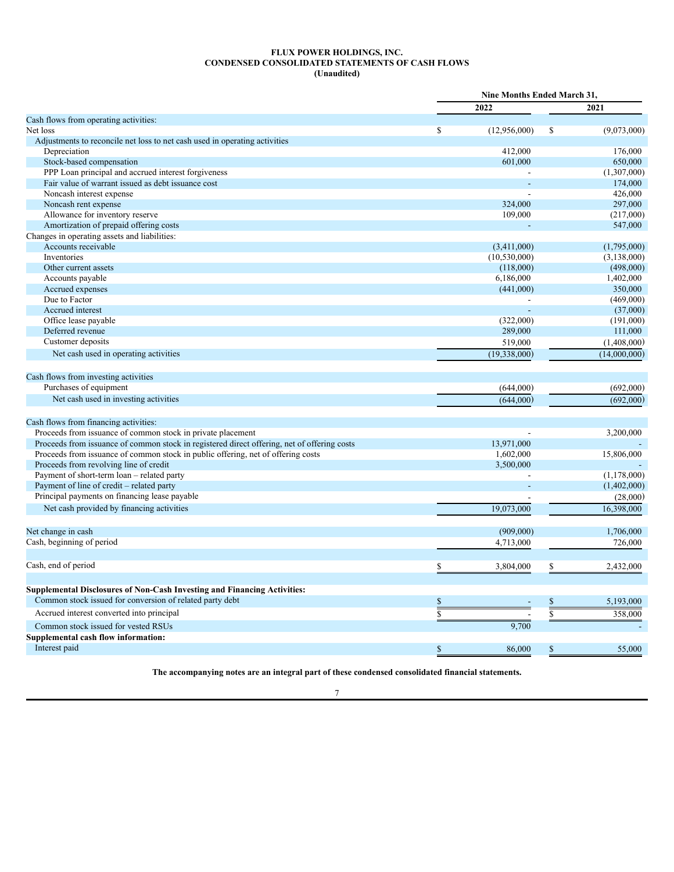# **FLUX POWER HOLDINGS, INC. CONDENSED CONSOLIDATED STATEMENTS OF CASH FLOWS (Unaudited)**

|                                                                                             |                         | <b>Nine Months Ended March 31.</b> |                |               |
|---------------------------------------------------------------------------------------------|-------------------------|------------------------------------|----------------|---------------|
|                                                                                             |                         | 2022                               |                | 2021          |
| Cash flows from operating activities:                                                       |                         |                                    |                |               |
| Net loss                                                                                    | \$                      | (12,956,000)                       | <sup>\$</sup>  | (9,073,000)   |
| Adjustments to reconcile net loss to net cash used in operating activities                  |                         |                                    |                |               |
| Depreciation                                                                                |                         | 412,000                            |                | 176,000       |
| Stock-based compensation                                                                    |                         | 601,000                            |                | 650,000       |
| PPP Loan principal and accrued interest forgiveness                                         |                         |                                    |                | (1,307,000)   |
| Fair value of warrant issued as debt issuance cost                                          |                         |                                    |                | 174,000       |
| Noncash interest expense                                                                    |                         |                                    |                | 426,000       |
| Noncash rent expense                                                                        |                         | 324,000                            |                | 297,000       |
| Allowance for inventory reserve                                                             |                         | 109,000                            |                | (217,000)     |
| Amortization of prepaid offering costs                                                      |                         |                                    |                | 547,000       |
| Changes in operating assets and liabilities:                                                |                         |                                    |                |               |
| Accounts receivable                                                                         |                         | (3,411,000)                        |                | (1,795,000)   |
| Inventories                                                                                 |                         | (10, 530, 000)                     |                | (3, 138, 000) |
| Other current assets                                                                        |                         | (118,000)                          |                | (498,000)     |
| Accounts payable                                                                            |                         | 6,186,000                          |                | 1,402,000     |
| Accrued expenses                                                                            |                         | (441,000)                          |                | 350,000       |
| Due to Factor                                                                               |                         |                                    |                | (469,000)     |
| Accrued interest                                                                            |                         | ÷,                                 |                | (37,000)      |
| Office lease payable                                                                        |                         | (322,000)                          |                | (191,000)     |
| Deferred revenue                                                                            |                         | 289,000                            |                | 111,000       |
| Customer deposits                                                                           |                         | 519,000                            |                | (1,408,000)   |
|                                                                                             |                         |                                    |                |               |
| Net cash used in operating activities                                                       |                         | (19, 338, 000)                     |                | (14,000,000)  |
| Cash flows from investing activities                                                        |                         |                                    |                |               |
| Purchases of equipment                                                                      |                         | (644,000)                          |                | (692,000)     |
| Net cash used in investing activities                                                       |                         | (644.000)                          |                | (692,000)     |
|                                                                                             |                         |                                    |                |               |
| Cash flows from financing activities:                                                       |                         |                                    |                |               |
| Proceeds from issuance of common stock in private placement                                 |                         |                                    |                | 3,200,000     |
| Proceeds from issuance of common stock in registered direct offering, net of offering costs |                         | 13,971,000                         |                |               |
| Proceeds from issuance of common stock in public offering, net of offering costs            |                         | 1,602,000                          |                | 15,806,000    |
| Proceeds from revolving line of credit                                                      |                         | 3,500,000                          |                |               |
| Payment of short-term loan - related party                                                  |                         |                                    |                | (1,178,000)   |
| Payment of line of credit – related party                                                   |                         |                                    |                | (1,402,000)   |
| Principal payments on financing lease payable                                               |                         |                                    |                | (28,000)      |
| Net cash provided by financing activities                                                   |                         | 19,073,000                         |                | 16,398,000    |
|                                                                                             |                         |                                    |                |               |
| Net change in cash                                                                          |                         | (909,000)                          |                | 1,706,000     |
| Cash, beginning of period                                                                   |                         | 4,713,000                          |                | 726,000       |
| Cash, end of period                                                                         |                         | 3,804,000                          | \$             | 2,432,000     |
|                                                                                             |                         |                                    |                |               |
| <b>Supplemental Disclosures of Non-Cash Investing and Financing Activities:</b>             |                         |                                    |                |               |
| Common stock issued for conversion of related party debt                                    | \$                      |                                    | \$             | 5,193,000     |
| Accrued interest converted into principal                                                   | $\overline{\mathbb{S}}$ |                                    | $\overline{s}$ | 358,000       |
| Common stock issued for vested RSUs                                                         |                         | 9,700                              |                |               |
| Supplemental cash flow information:                                                         |                         |                                    |                |               |
| Interest paid                                                                               | \$                      | 86,000                             | \$             | 55,000        |
|                                                                                             |                         |                                    |                |               |

**The accompanying notes are an integral part of these condensed consolidated financial statements.**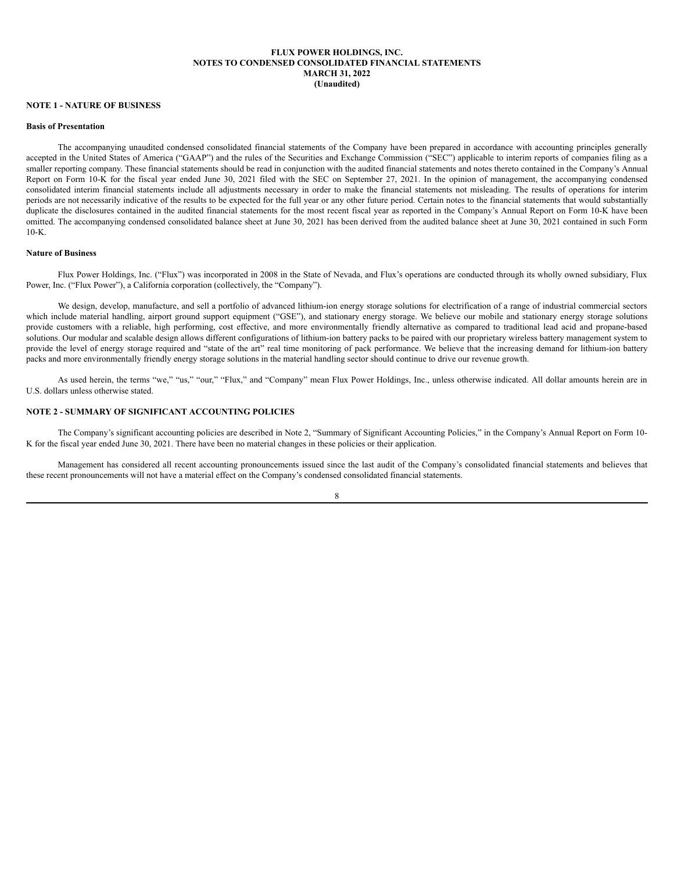### **FLUX POWER HOLDINGS, INC. NOTES TO CONDENSED CONSOLIDATED FINANCIAL STATEMENTS MARCH 31, 2022 (Unaudited)**

# **NOTE 1 - NATURE OF BUSINESS**

#### **Basis of Presentation**

The accompanying unaudited condensed consolidated financial statements of the Company have been prepared in accordance with accounting principles generally accepted in the United States of America ("GAAP") and the rules of the Securities and Exchange Commission ("SEC") applicable to interim reports of companies filing as a smaller reporting company. These financial statements should be read in conjunction with the audited financial statements and notes thereto contained in the Company's Annual Report on Form 10-K for the fiscal year ended June 30, 2021 filed with the SEC on September 27, 2021. In the opinion of management, the accompanying condensed consolidated interim financial statements include all adjustments necessary in order to make the financial statements not misleading. The results of operations for interim periods are not necessarily indicative of the results to be expected for the full year or any other future period. Certain notes to the financial statements that would substantially duplicate the disclosures contained in the audited financial statements for the most recent fiscal year as reported in the Company's Annual Report on Form 10-K have been omitted. The accompanying condensed consolidated balance sheet at June 30, 2021 has been derived from the audited balance sheet at June 30, 2021 contained in such Form 10-K.

# **Nature of Business**

Flux Power Holdings, Inc. ("Flux") was incorporated in 2008 in the State of Nevada, and Flux's operations are conducted through its wholly owned subsidiary, Flux Power, Inc. ("Flux Power"), a California corporation (collectively, the "Company").

We design. develop, manufacture, and sell a portfolio of advanced lithium-ion energy storage solutions for electrification of a range of industrial commercial sectors which include material handling, airport ground support equipment ("GSE"), and stationary energy storage. We believe our mobile and stationary energy storage solutions provide customers with a reliable, high performing, cost effective, and more environmentally friendly alternative as compared to traditional lead acid and propane-based solutions. Our modular and scalable design allows different configurations of lithium-ion battery packs to be paired with our proprietary wireless battery management system to provide the level of energy storage required and "state of the art" real time monitoring of pack performance. We believe that the increasing demand for lithium-ion battery packs and more environmentally friendly energy storage solutions in the material handling sector should continue to drive our revenue growth.

As used herein, the terms "we," "us," "our," "Flux," and "Company" mean Flux Power Holdings, Inc., unless otherwise indicated. All dollar amounts herein are in U.S. dollars unless otherwise stated.

# **NOTE 2 - SUMMARY OF SIGNIFICANT ACCOUNTING POLICIES**

The Company's significant accounting policies are described in Note 2, "Summary of Significant Accounting Policies," in the Company's Annual Report on Form 10- K for the fiscal year ended June 30, 2021. There have been no material changes in these policies or their application.

Management has considered all recent accounting pronouncements issued since the last audit of the Company's consolidated financial statements and believes that these recent pronouncements will not have a material effect on the Company's condensed consolidated financial statements.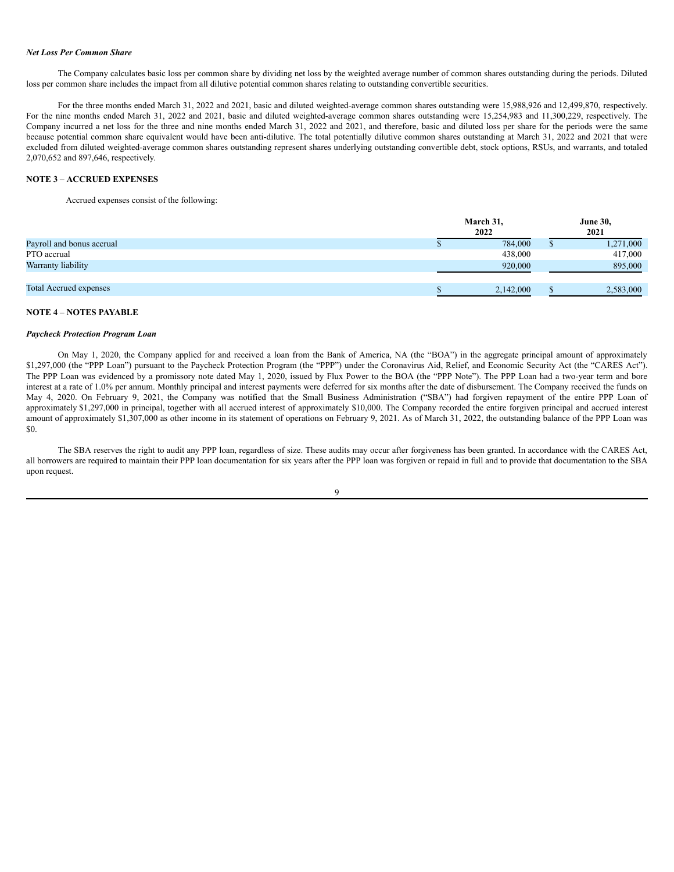# *Net Loss Per Common Share*

The Company calculates basic loss per common share by dividing net loss by the weighted average number of common shares outstanding during the periods. Diluted loss per common share includes the impact from all dilutive potential common shares relating to outstanding convertible securities.

For the three months ended March 31, 2022 and 2021, basic and diluted weighted-average common shares outstanding were 15,988,926 and 12,499,870, respectively. For the nine months ended March 31, 2022 and 2021, basic and diluted weighted-average common shares outstanding were 15,254,983 and 11,300,229, respectively. The Company incurred a net loss for the three and nine months ended March 31, 2022 and 2021, and therefore, basic and diluted loss per share for the periods were the same because potential common share equivalent would have been anti-dilutive. The total potentially dilutive common shares outstanding at March 31, 2022 and 2021 that were excluded from diluted weighted-average common shares outstanding represent shares underlying outstanding convertible debt, stock options, RSUs, and warrants, and totaled 2,070,652 and 897,646, respectively.

# **NOTE 3 – ACCRUED EXPENSES**

Accrued expenses consist of the following:

|                           | March 31,<br>2022 | <b>June 30,</b><br>2021 |
|---------------------------|-------------------|-------------------------|
| Payroll and bonus accrual | 784,000           | 1,271,000               |
| PTO accrual               | 438,000           | 417,000                 |
| Warranty liability        | 920,000           | 895,000                 |
| Total Accrued expenses    | 2,142,000         | 2,583,000               |

# **NOTE 4 – NOTES PAYABLE**

# *Paycheck Protection Program Loan*

On May 1, 2020, the Company applied for and received a loan from the Bank of America, NA (the "BOA") in the aggregate principal amount of approximately \$1,297,000 (the "PPP Loan") pursuant to the Paycheck Protection Program (the "PPP") under the Coronavirus Aid, Relief, and Economic Security Act (the "CARES Act"). The PPP Loan was evidenced by a promissory note dated May 1, 2020, issued by Flux Power to the BOA (the "PPP Note"). The PPP Loan had a two-year term and bore interest at a rate of 1.0% per annum. Monthly principal and interest payments were deferred for six months after the date of disbursement. The Company received the funds on May 4, 2020. On February 9, 2021, the Company was notified that the Small Business Administration ("SBA") had forgiven repayment of the entire PPP Loan of approximately \$1,297,000 in principal, together with all accrued interest of approximately \$10,000. The Company recorded the entire forgiven principal and accrued interest amount of approximately \$1,307,000 as other income in its statement of operations on February 9, 2021. As of March 31, 2022, the outstanding balance of the PPP Loan was \$0.

The SBA reserves the right to audit any PPP loan, regardless of size. These audits may occur after forgiveness has been granted. In accordance with the CARES Act, all borrowers are required to maintain their PPP loan documentation for six years after the PPP loan was forgiven or repaid in full and to provide that documentation to the SBA upon request.

#### $\overline{Q}$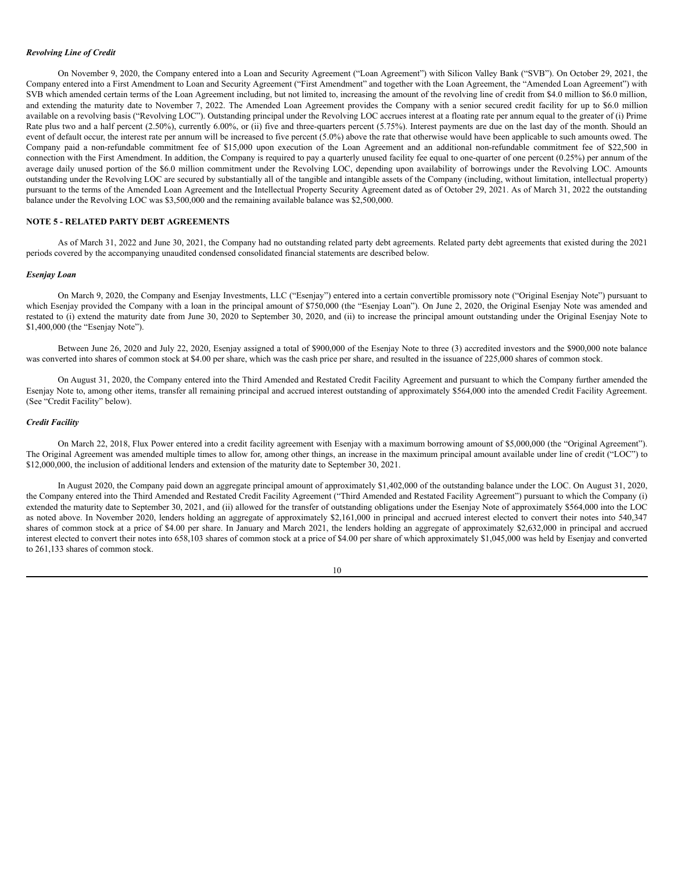# *Revolving Line of Credit*

On November 9, 2020, the Company entered into a Loan and Security Agreement ("Loan Agreement") with Silicon Valley Bank ("SVB"). On October 29, 2021, the Company entered into a First Amendment to Loan and Security Agreement ("First Amendment" and together with the Loan Agreement, the "Amended Loan Agreement") with SVB which amended certain terms of the Loan Agreement including, but not limited to, increasing the amount of the revolving line of credit from \$4.0 million to \$6.0 million, and extending the maturity date to November 7, 2022. The Amended Loan Agreement provides the Company with a senior secured credit facility for up to \$6.0 million available on a revolving basis ("Revolving LOC"). Outstanding principal under the Revolving LOC accrues interest at a floating rate per annum equal to the greater of (i) Prime Rate plus two and a half percent (2.50%), currently 6.00%, or (ii) five and three-quarters percent (5.75%). Interest payments are due on the last day of the month. Should an event of default occur, the interest rate per annum will be increased to five percent (5.0%) above the rate that otherwise would have been applicable to such amounts owed. The Company paid a non-refundable commitment fee of \$15,000 upon execution of the Loan Agreement and an additional non-refundable commitment fee of \$22,500 in connection with the First Amendment. In addition, the Company is required to pay a quarterly unused facility fee equal to one-quarter of one percent (0.25%) per annum of the average daily unused portion of the \$6.0 million commitment under the Revolving LOC, depending upon availability of borrowings under the Revolving LOC. Amounts outstanding under the Revolving LOC are secured by substantially all of the tangible and intangible assets of the Company (including, without limitation, intellectual property) pursuant to the terms of the Amended Loan Agreement and the Intellectual Property Security Agreement dated as of October 29, 2021. As of March 31, 2022 the outstanding balance under the Revolving LOC was \$3,500,000 and the remaining available balance was \$2,500,000.

### **NOTE 5 - RELATED PARTY DEBT AGREEMENTS**

As of March 31, 2022 and June 30, 2021, the Company had no outstanding related party debt agreements. Related party debt agreements that existed during the 2021 periods covered by the accompanying unaudited condensed consolidated financial statements are described below.

#### *Esenjay Loan*

On March 9, 2020, the Company and Esenjay Investments, LLC ("Esenjay") entered into a certain convertible promissory note ("Original Esenjay Note") pursuant to which Esenjay provided the Company with a loan in the principal amount of \$750,000 (the "Esenjay Loan"). On June 2, 2020, the Original Esenjay Note was amended and restated to (i) extend the maturity date from June 30, 2020 to September 30, 2020, and (ii) to increase the principal amount outstanding under the Original Esenjay Note to \$1,400,000 (the "Esenjay Note").

Between June 26, 2020 and July 22, 2020, Esenjay assigned a total of \$900,000 of the Esenjay Note to three (3) accredited investors and the \$900,000 note balance was converted into shares of common stock at \$4.00 per share, which was the cash price per share, and resulted in the issuance of 225,000 shares of common stock.

On August 31, 2020, the Company entered into the Third Amended and Restated Credit Facility Agreement and pursuant to which the Company further amended the Esenjay Note to, among other items, transfer all remaining principal and accrued interest outstanding of approximately \$564,000 into the amended Credit Facility Agreement. (See "Credit Facility" below).

## *Credit Facility*

On March 22, 2018, Flux Power entered into a credit facility agreement with Esenjay with a maximum borrowing amount of \$5,000,000 (the "Original Agreement"). The Original Agreement was amended multiple times to allow for, among other things, an increase in the maximum principal amount available under line of credit ("LOC") to \$12,000,000, the inclusion of additional lenders and extension of the maturity date to September 30, 2021.

In August 2020, the Company paid down an aggregate principal amount of approximately \$1,402,000 of the outstanding balance under the LOC. On August 31, 2020, the Company entered into the Third Amended and Restated Credit Facility Agreement ("Third Amended and Restated Facility Agreement") pursuant to which the Company (i) extended the maturity date to September 30, 2021, and (ii) allowed for the transfer of outstanding obligations under the Esenjay Note of approximately \$564,000 into the LOC as noted above. In November 2020, lenders holding an aggregate of approximately \$2,161,000 in principal and accrued interest elected to convert their notes into 540,347 shares of common stock at a price of \$4.00 per share. In January and March 2021, the lenders holding an aggregate of approximately \$2,632,000 in principal and accrued interest elected to convert their notes into 658,103 shares of common stock at a price of \$4.00 per share of which approximately \$1,045,000 was held by Esenjay and converted to 261,133 shares of common stock.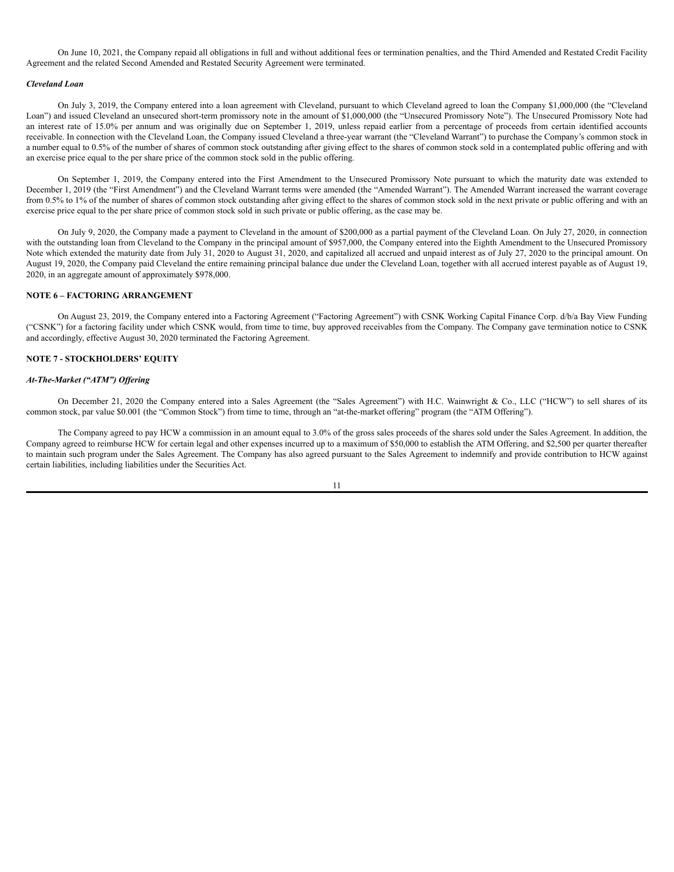On June 10, 2021, the Company repaid all obligations in full and without additional fees or termination penalties, and the Third Amended and Restated Credit Facility Agreement and the related Second Amended and Restated Security Agreement were terminated.

#### *Cleveland Loan*

On July 3, 2019, the Company entered into a loan agreement with Cleveland, pursuant to which Cleveland agreed to loan the Company \$1,000,000 (the "Cleveland Loan") and issued Cleveland an unsecured short-term promissory note in the amount of \$1,000,000 (the "Unsecured Promissory Note"). The Unsecured Promissory Note had an interest rate of 15.0% per annum and was originally due on September 1, 2019, unless repaid earlier from a percentage of proceeds from certain identified accounts receivable. In connection with the Cleveland Loan, the Company issued Cleveland a three-year warrant (the "Cleveland Warrant") to purchase the Company's common stock in a number equal to 0.5% of the number of shares of common stock outstanding after giving effect to the shares of common stock sold in a contemplated public offering and with an exercise price equal to the per share price of the common stock sold in the public offering.

On September 1, 2019, the Company entered into the First Amendment to the Unsecured Promissory Note pursuant to which the maturity date was extended to December 1, 2019 (the "First Amendment") and the Cleveland Warrant terms were amended (the "Amended Warrant"). The Amended Warrant increased the warrant coverage from 0.5% to 1% of the number of shares of common stock outstanding after giving effect to the shares of common stock sold in the next private or public offering and with an exercise price equal to the per share price of common stock sold in such private or public offering, as the case may be.

On July 9, 2020, the Company made a payment to Cleveland in the amount of \$200,000 as a partial payment of the Cleveland Loan. On July 27, 2020, in connection with the outstanding loan from Cleveland to the Company in the principal amount of \$957,000, the Company entered into the Eighth Amendment to the Unsecured Promissory Note which extended the maturity date from July 31, 2020 to August 31, 2020, and capitalized all accrued and unpaid interest as of July 27, 2020 to the principal amount. On August 19, 2020, the Company paid Cleveland the entire remaining principal balance due under the Cleveland Loan, together with all accrued interest payable as of August 19, 2020, in an aggregate amount of approximately \$978,000.

# **NOTE 6 – FACTORING ARRANGEMENT**

On August 23, 2019, the Company entered into a Factoring Agreement ("Factoring Agreement") with CSNK Working Capital Finance Corp. d/b/a Bay View Funding ("CSNK") for a factoring facility under which CSNK would, from time to time, buy approved receivables from the Company. The Company gave termination notice to CSNK and accordingly, effective August 30, 2020 terminated the Factoring Agreement.

# **NOTE 7 - STOCKHOLDERS' EQUITY**

# *At-The-Market ("ATM") Of ering*

On December 21, 2020 the Company entered into a Sales Agreement (the "Sales Agreement") with H.C. Wainwright & Co., LLC ("HCW") to sell shares of its common stock, par value \$0.001 (the "Common Stock") from time to time, through an "at-the-market offering" program (the "ATM Offering").

The Company agreed to pay HCW a commission in an amount equal to 3.0% of the gross sales proceeds of the shares sold under the Sales Agreement. In addition, the Company agreed to reimburse HCW for certain legal and other expenses incurred up to a maximum of \$50,000 to establish the ATM Offering, and \$2,500 per quarter thereafter to maintain such program under the Sales Agreement. The Company has also agreed pursuant to the Sales Agreement to indemnify and provide contribution to HCW against certain liabilities, including liabilities under the Securities Act.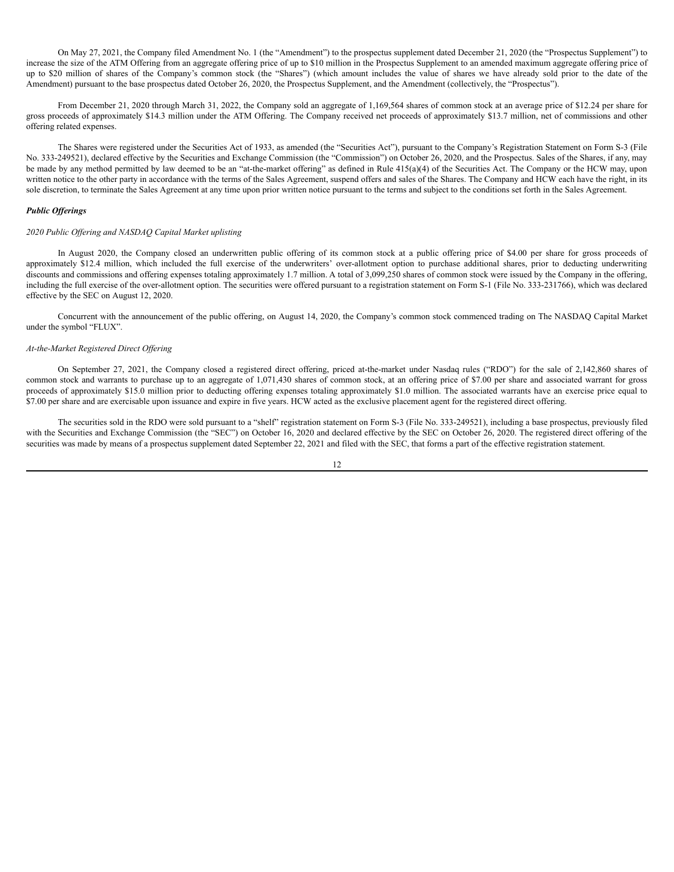On May 27, 2021, the Company filed Amendment No. 1 (the "Amendment") to the prospectus supplement dated December 21, 2020 (the "Prospectus Supplement") to increase the size of the ATM Offering from an aggregate offering price of up to \$10 million in the Prospectus Supplement to an amended maximum aggregate offering price of up to \$20 million of shares of the Company's common stock (the "Shares") (which amount includes the value of shares we have already sold prior to the date of the Amendment) pursuant to the base prospectus dated October 26, 2020, the Prospectus Supplement, and the Amendment (collectively, the "Prospectus").

From December 21, 2020 through March 31, 2022, the Company sold an aggregate of 1,169,564 shares of common stock at an average price of \$12.24 per share for gross proceeds of approximately \$14.3 million under the ATM Offering. The Company received net proceeds of approximately \$13.7 million, net of commissions and other offering related expenses.

The Shares were registered under the Securities Act of 1933, as amended (the "Securities Act"), pursuant to the Company's Registration Statement on Form S-3 (File No. 333-249521), declared effective by the Securities and Exchange Commission (the "Commission") on October 26, 2020, and the Prospectus. Sales of the Shares, if any, may be made by any method permitted by law deemed to be an "at-the-market offering" as defined in Rule 415(a)(4) of the Securities Act. The Company or the HCW may, upon written notice to the other party in accordance with the terms of the Sales Agreement, suspend offers and sales of the Shares. The Company and HCW each have the right, in its sole discretion, to terminate the Sales Agreement at any time upon prior written notice pursuant to the terms and subject to the conditions set forth in the Sales Agreement.

# *Public Of erings*

#### *2020 Public Of ering and NASDAQ Capital Market uplisting*

In August 2020, the Company closed an underwritten public offering of its common stock at a public offering price of \$4.00 per share for gross proceeds of approximately \$12.4 million, which included the full exercise of the underwriters' over-allotment option to purchase additional shares, prior to deducting underwriting discounts and commissions and offering expenses totaling approximately 1.7 million. A total of 3,099,250 shares of common stock were issued by the Company in the offering, including the full exercise of the over-allotment option. The securities were offered pursuant to a registration statement on Form S-1 (File No. 333-231766), which was declared effective by the SEC on August 12, 2020.

Concurrent with the announcement of the public offering, on August 14, 2020, the Company's common stock commenced trading on The NASDAQ Capital Market under the symbol "FLUX".

#### *At-the-Market Registered Direct Of ering*

On September 27, 2021, the Company closed a registered direct offering, priced at-the-market under Nasdaq rules ("RDO") for the sale of 2,142,860 shares of common stock and warrants to purchase up to an aggregate of 1,071,430 shares of common stock, at an offering price of \$7.00 per share and associated warrant for gross proceeds of approximately \$15.0 million prior to deducting offering expenses totaling approximately \$1.0 million. The associated warrants have an exercise price equal to \$7.00 per share and are exercisable upon issuance and expire in five years. HCW acted as the exclusive placement agent for the registered direct offering.

The securities sold in the RDO were sold pursuant to a "shelf" registration statement on Form S-3 (File No. 333-249521), including a base prospectus, previously filed with the Securities and Exchange Commission (the "SEC") on October 16, 2020 and declared effective by the SEC on October 26, 2020. The registered direct offering of the securities was made by means of a prospectus supplement dated September 22, 2021 and filed with the SEC, that forms a part of the effective registration statement.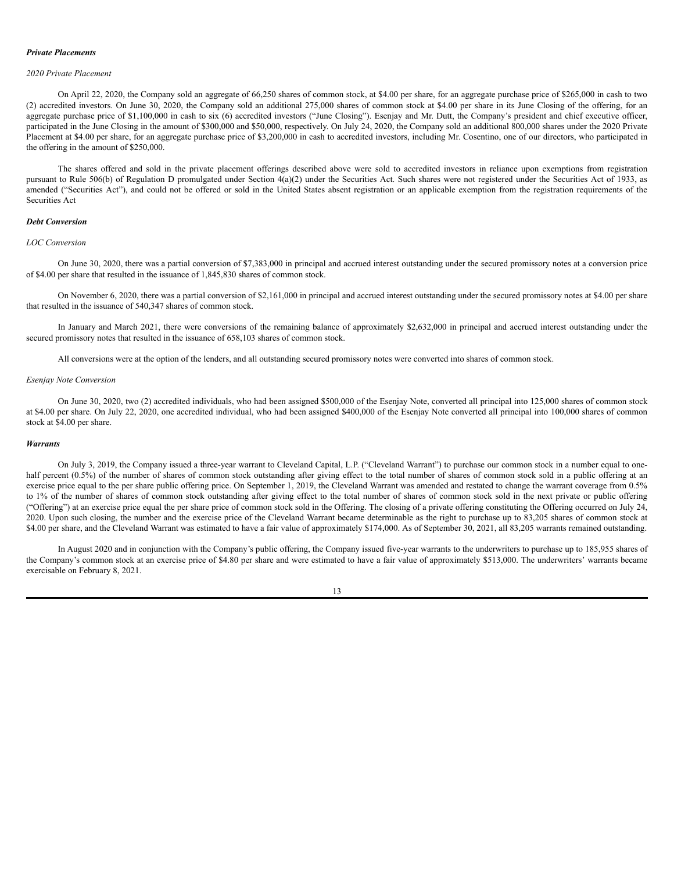#### *Private Placements*

# *2020 Private Placement*

On April 22, 2020, the Company sold an aggregate of 66,250 shares of common stock, at \$4.00 per share, for an aggregate purchase price of \$265,000 in cash to two (2) accredited investors. On June 30, 2020, the Company sold an additional 275,000 shares of common stock at \$4.00 per share in its June Closing of the offering, for an aggregate purchase price of \$1,100,000 in cash to six (6) accredited investors ("June Closing"). Esenjay and Mr. Dutt, the Company's president and chief executive officer, participated in the June Closing in the amount of \$300,000 and \$50,000, respectively. On July 24, 2020, the Company sold an additional 800,000 shares under the 2020 Private Placement at \$4.00 per share, for an aggregate purchase price of \$3,200,000 in cash to accredited investors, including Mr. Cosentino, one of our directors, who participated in the offering in the amount of \$250,000.

The shares offered and sold in the private placement offerings described above were sold to accredited investors in reliance upon exemptions from registration pursuant to Rule 506(b) of Regulation D promulgated under Section 4(a)(2) under the Securities Act. Such shares were not registered under the Securities Act of 1933, as amended ("Securities Act"), and could not be offered or sold in the United States absent registration or an applicable exemption from the registration requirements of the Securities Act

### *Debt Conversion*

# *LOC Conversion*

On June 30, 2020, there was a partial conversion of \$7,383,000 in principal and accrued interest outstanding under the secured promissory notes at a conversion price of \$4.00 per share that resulted in the issuance of 1,845,830 shares of common stock.

On November 6, 2020, there was a partial conversion of \$2,161,000 in principal and accrued interest outstanding under the secured promissory notes at \$4.00 per share that resulted in the issuance of 540,347 shares of common stock.

In January and March 2021, there were conversions of the remaining balance of approximately \$2,632,000 in principal and accrued interest outstanding under the secured promissory notes that resulted in the issuance of 658,103 shares of common stock.

All conversions were at the option of the lenders, and all outstanding secured promissory notes were converted into shares of common stock.

#### *Esenjay Note Conversion*

On June 30, 2020, two (2) accredited individuals, who had been assigned \$500,000 of the Esenjay Note, converted all principal into 125,000 shares of common stock at \$4.00 per share. On July 22, 2020, one accredited individual, who had been assigned \$400,000 of the Esenjay Note converted all principal into 100,000 shares of common stock at \$4.00 per share.

#### *Warrants*

On July 3, 2019, the Company issued a three-year warrant to Cleveland Capital, L.P. ("Cleveland Warrant") to purchase our common stock in a number equal to onehalf percent (0.5%) of the number of shares of common stock outstanding after giving effect to the total number of shares of common stock sold in a public offering at an exercise price equal to the per share public offering price. On September 1, 2019, the Cleveland Warrant was amended and restated to change the warrant coverage from 0.5% to 1% of the number of shares of common stock outstanding after giving effect to the total number of shares of common stock sold in the next private or public offering ("Offering") at an exercise price equal the per share price of common stock sold in the Offering. The closing of a private offering constituting the Offering occurred on July 24, 2020. Upon such closing, the number and the exercise price of the Cleveland Warrant became determinable as the right to purchase up to 83,205 shares of common stock at \$4.00 per share, and the Cleveland Warrant was estimated to have a fair value of approximately \$174,000. As of September 30, 2021, all 83,205 warrants remained outstanding.

In August 2020 and in conjunction with the Company's public offering, the Company issued five-year warrants to the underwriters to purchase up to 185,955 shares of the Company's common stock at an exercise price of \$4.80 per share and were estimated to have a fair value of approximately \$513,000. The underwriters' warrants became exercisable on February 8, 2021.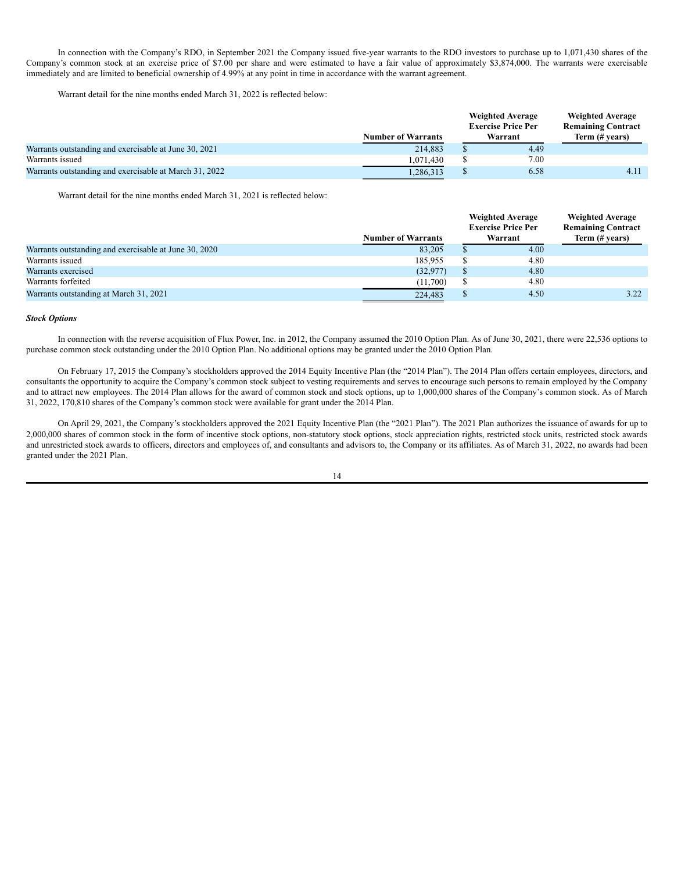In connection with the Company's RDO, in September 2021 the Company issued five-year warrants to the RDO investors to purchase up to 1,071,430 shares of the Company's common stock at an exercise price of \$7.00 per share and were estimated to have a fair value of approximately \$3,874,000. The warrants were exercisable immediately and are limited to beneficial ownership of 4.99% at any point in time in accordance with the warrant agreement.

Warrant detail for the nine months ended March 31, 2022 is reflected below:

|                                                        | <b>Number of Warrants</b> | <b>Weighted Average</b><br><b>Exercise Price Per</b><br>Warrant | <b>Weighted Average</b><br><b>Remaining Contract</b><br>Term (# years) |
|--------------------------------------------------------|---------------------------|-----------------------------------------------------------------|------------------------------------------------------------------------|
| Warrants outstanding and exercisable at June 30, 2021  | 214.883                   | 4.49                                                            |                                                                        |
| Warrants issued                                        | 1.071.430                 | 7.00                                                            |                                                                        |
| Warrants outstanding and exercisable at March 31, 2022 | .286,313                  | 6.58                                                            |                                                                        |

Warrant detail for the nine months ended March 31, 2021 is reflected below:

|                                                       | <b>Number of Warrants</b> | <b>Weighted Average</b><br><b>Exercise Price Per</b><br>Warrant | <b>Weighted Average</b><br><b>Remaining Contract</b><br>Term (# years) |
|-------------------------------------------------------|---------------------------|-----------------------------------------------------------------|------------------------------------------------------------------------|
| Warrants outstanding and exercisable at June 30, 2020 | 83.205                    | 4.00                                                            |                                                                        |
| Warrants issued                                       | 185.955                   | 4.80                                                            |                                                                        |
| Warrants exercised                                    | (32,977)                  | 4.80                                                            |                                                                        |
| Warrants forfeited                                    | (11,700)                  | 4.80                                                            |                                                                        |
| Warrants outstanding at March 31, 2021                | 224.483                   | 4.50                                                            | 3.22                                                                   |

### *Stock Options*

In connection with the reverse acquisition of Flux Power, Inc. in 2012, the Company assumed the 2010 Option Plan. As of June 30, 2021, there were 22,536 options to purchase common stock outstanding under the 2010 Option Plan. No additional options may be granted under the 2010 Option Plan.

On February 17, 2015 the Company's stockholders approved the 2014 Equity Incentive Plan (the "2014 Plan"). The 2014 Plan offers certain employees, directors, and consultants the opportunity to acquire the Company's common stock subject to vesting requirements and serves to encourage such persons to remain employed by the Company and to attract new employees. The 2014 Plan allows for the award of common stock and stock options, up to 1,000,000 shares of the Company's common stock. As of March 31, 2022, 170,810 shares of the Company's common stock were available for grant under the 2014 Plan.

On April 29, 2021, the Company's stockholders approved the 2021 Equity Incentive Plan (the "2021 Plan"). The 2021 Plan authorizes the issuance of awards for up to 2,000,000 shares of common stock in the form of incentive stock options, non-statutory stock options, stock appreciation rights, restricted stock units, restricted stock awards and unrestricted stock awards to officers, directors and employees of, and consultants and advisors to, the Company or its affiliates. As of March 31, 2022, no awards had been granted under the 2021 Plan.

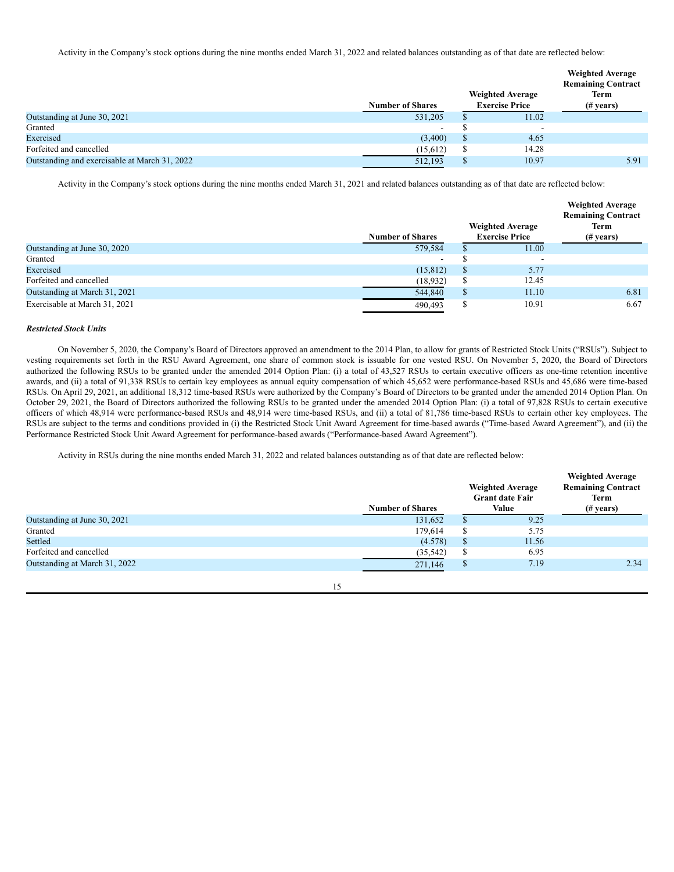Activity in the Company's stock options during the nine months ended March 31, 2022 and related balances outstanding as of that date are reflected below:

|                                               | <b>Number of Shares</b>  | <b>Weighted Average</b><br><b>Exercise Price</b> | <b>Weighted Average</b><br><b>Remaining Contract</b><br><b>Term</b><br># years) |
|-----------------------------------------------|--------------------------|--------------------------------------------------|---------------------------------------------------------------------------------|
| Outstanding at June 30, 2021                  | 531,205                  | 11.02                                            |                                                                                 |
| Granted                                       | $\overline{\phantom{0}}$ | $\overline{\phantom{0}}$                         |                                                                                 |
| Exercised                                     | (3,400)                  | 4.65                                             |                                                                                 |
| Forfeited and cancelled                       | (15, 612)                | 14.28                                            |                                                                                 |
| Outstanding and exercisable at March 31, 2022 | 512,193                  | 10.97                                            | 5.91                                                                            |

Activity in the Company's stock options during the nine months ended March 31, 2021 and related balances outstanding as of that date are reflected below:

|                               |                         |                                                  | <b>Weighted Average</b><br><b>Remaining Contract</b> |
|-------------------------------|-------------------------|--------------------------------------------------|------------------------------------------------------|
|                               | <b>Number of Shares</b> | <b>Weighted Average</b><br><b>Exercise Price</b> | <b>Term</b><br># years)                              |
| Outstanding at June 30, 2020  | 579,584                 | 11.00                                            |                                                      |
| Granted                       | ۰                       | $\overline{\phantom{0}}$                         |                                                      |
| Exercised                     | (15, 812)               | 5.77                                             |                                                      |
| Forfeited and cancelled       | (18, 932)               | 12.45                                            |                                                      |
| Outstanding at March 31, 2021 | 544,840                 | 11.10                                            | 6.81                                                 |
| Exercisable at March 31, 2021 | 490,493                 | 10.91                                            | 6.67                                                 |

# *Restricted Stock Units*

On November 5, 2020, the Company's Board of Directors approved an amendment to the 2014 Plan, to allow for grants of Restricted Stock Units ("RSUs"). Subject to vesting requirements set forth in the RSU Award Agreement, one share of common stock is issuable for one vested RSU. On November 5, 2020, the Board of Directors authorized the following RSUs to be granted under the amended 2014 Option Plan: (i) a total of 43,527 RSUs to certain executive officers as one-time retention incentive awards, and (ii) a total of 91,338 RSUs to certain key employees as annual equity compensation of which 45,652 were performance-based RSUs and 45,686 were time-based RSUs. On April 29, 2021, an additional 18,312 time-based RSUs were authorized by the Company's Board of Directors to be granted under the amended 2014 Option Plan. On October 29, 2021, the Board of Directors authorized the following RSUs to be granted under the amended 2014 Option Plan: (i) a total of 97,828 RSUs to certain executive officers of which 48,914 were performance-based RSUs and 48,914 were time-based RSUs, and (ii) a total of 81,786 time-based RSUs to certain other key employees. The RSUs are subject to the terms and conditions provided in (i) the Restricted Stock Unit Award Agreement for time-based awards ("Time-based Award Agreement"), and (ii) the Performance Restricted Stock Unit Award Agreement for performance-based awards ("Performance-based Award Agreement").

Activity in RSUs during the nine months ended March 31, 2022 and related balances outstanding as of that date are reflected below:

|                               | <b>Number of Shares</b> | <b>Weighted Average</b><br><b>Grant date Fair</b><br>Value | <b>Weighted Average</b><br><b>Remaining Contract</b><br><b>Term</b><br># years) |
|-------------------------------|-------------------------|------------------------------------------------------------|---------------------------------------------------------------------------------|
| Outstanding at June 30, 2021  | 131,652                 | 9.25                                                       |                                                                                 |
| Granted                       | 179,614                 | 5.75                                                       |                                                                                 |
| Settled                       | (4.578)                 | 11.56                                                      |                                                                                 |
| Forfeited and cancelled       | (35, 542)               | 6.95                                                       |                                                                                 |
| Outstanding at March 31, 2022 | 271,146                 | 7.19                                                       | 2.34                                                                            |
|                               |                         |                                                            |                                                                                 |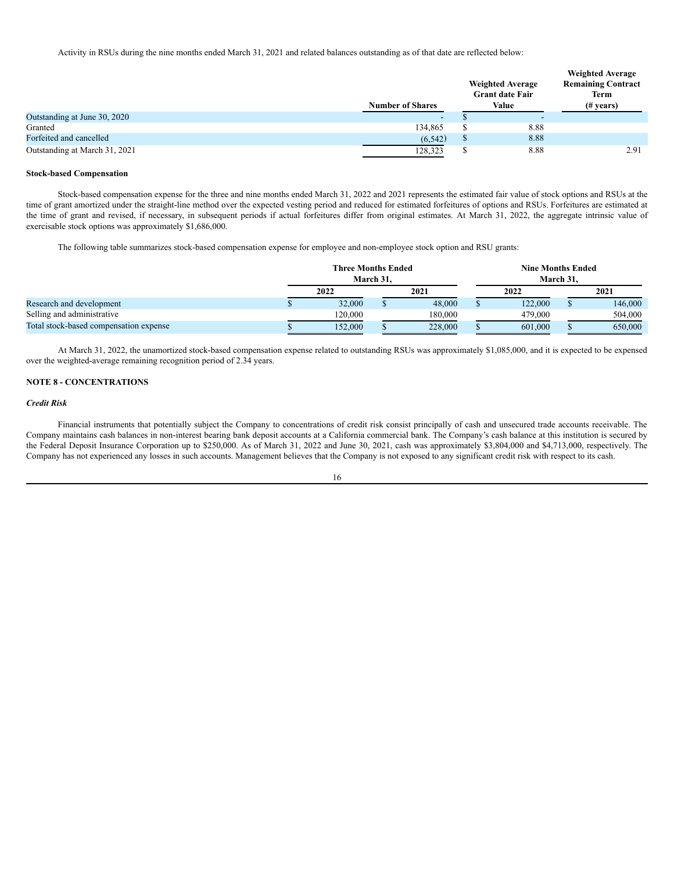Activity in RSUs during the nine months ended March 31, 2021 and related balances outstanding as of that date are reflected below:

|                               | <b>Number of Shares</b>  | <b>Weighted Average</b><br><b>Grant date Fair</b><br>Value | <b>Weighted Average</b><br><b>Remaining Contract</b><br>Term<br># years) |
|-------------------------------|--------------------------|------------------------------------------------------------|--------------------------------------------------------------------------|
| Outstanding at June 30, 2020  | $\overline{\phantom{a}}$ | -                                                          |                                                                          |
| Granted                       | 134,865                  | 8.88                                                       |                                                                          |
| Forfeited and cancelled       | (6, 542)                 | 8.88                                                       |                                                                          |
| Outstanding at March 31, 2021 | 128,323                  | 8.88                                                       | 2.91                                                                     |

#### **Stock-based Compensation**

Stock-based compensation expense for the three and nine months ended March 31, 2022 and 2021 represents the estimated fair value of stock options and RSUs at the time of grant amortized under the straight-line method over the expected vesting period and reduced for estimated forfeitures of options and RSUs. Forfeitures are estimated at the time of grant and revised, if necessary, in subsequent periods if actual forfeitures differ from original estimates. At March 31, 2022, the aggregate intrinsic value of exercisable stock options was approximately \$1,686,000.

The following table summarizes stock-based compensation expense for employee and non-employee stock option and RSU grants:

|                                        | <b>Three Months Ended</b><br>March 31. |  | <b>Nine Months Ended</b><br>March 31. |  |         |  |         |
|----------------------------------------|----------------------------------------|--|---------------------------------------|--|---------|--|---------|
|                                        | 2022                                   |  | 2021                                  |  | 2022    |  | 2021    |
| Research and development               | 32,000                                 |  | 48,000                                |  | 122,000 |  | 146,000 |
| Selling and administrative             | 120.000                                |  | 180,000                               |  | 479,000 |  | 504,000 |
| Total stock-based compensation expense | 152,000                                |  | 228,000                               |  | 601,000 |  | 650,000 |

At March 31, 2022, the unamortized stock-based compensation expense related to outstanding RSUs was approximately \$1,085,000, and it is expected to be expensed over the weighted-average remaining recognition period of 2.34 years.

# **NOTE 8 - CONCENTRATIONS**

#### *Credit Risk*

Financial instruments that potentially subject the Company to concentrations of credit risk consist principally of cash and unsecured trade accounts receivable. The Company maintains cash balances in non-interest bearing bank deposit accounts at a California commercial bank. The Company's cash balance at this institution is secured by the Federal Deposit Insurance Corporation up to \$250,000. As of March 31, 2022 and June 30, 2021, cash was approximately \$3,804,000 and \$4,713,000, respectively. The Company has not experienced any losses in such accounts. Management believes that the Company is not exposed to any significant credit risk with respect to its cash.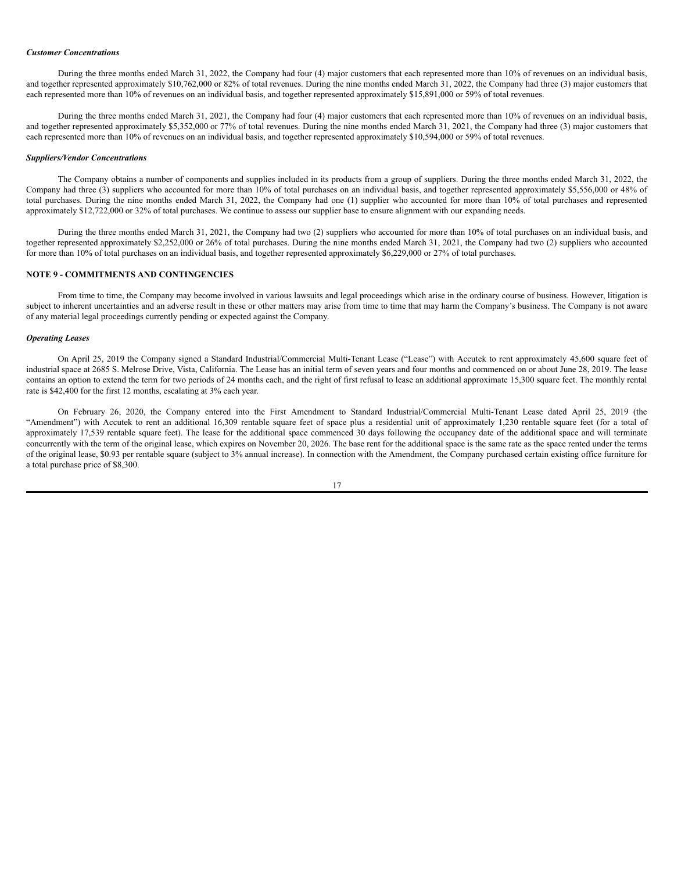### *Customer Concentrations*

During the three months ended March 31, 2022, the Company had four (4) major customers that each represented more than 10% of revenues on an individual basis, and together represented approximately \$10,762,000 or 82% of total revenues. During the nine months ended March 31, 2022, the Company had three (3) major customers that each represented more than 10% of revenues on an individual basis, and together represented approximately \$15,891,000 or 59% of total revenues.

During the three months ended March 31, 2021, the Company had four (4) major customers that each represented more than 10% of revenues on an individual basis, and together represented approximately \$5,352,000 or 77% of total revenues. During the nine months ended March 31, 2021, the Company had three (3) major customers that each represented more than 10% of revenues on an individual basis, and together represented approximately \$10,594,000 or 59% of total revenues.

#### *Suppliers/Vendor Concentrations*

The Company obtains a number of components and supplies included in its products from a group of suppliers. During the three months ended March 31, 2022, the Company had three (3) suppliers who accounted for more than 10% of total purchases on an individual basis, and together represented approximately \$5,556,000 or 48% of total purchases. During the nine months ended March 31, 2022, the Company had one (1) supplier who accounted for more than 10% of total purchases and represented approximately \$12,722,000 or 32% of total purchases. We continue to assess our supplier base to ensure alignment with our expanding needs.

During the three months ended March 31, 2021, the Company had two (2) suppliers who accounted for more than 10% of total purchases on an individual basis, and together represented approximately \$2,252,000 or 26% of total purchases. During the nine months ended March 31, 2021, the Company had two (2) suppliers who accounted for more than 10% of total purchases on an individual basis, and together represented approximately \$6,229,000 or 27% of total purchases.

# **NOTE 9 - COMMITMENTS AND CONTINGENCIES**

From time to time, the Company may become involved in various lawsuits and legal proceedings which arise in the ordinary course of business. However, litigation is subject to inherent uncertainties and an adverse result in these or other matters may arise from time to time that may harm the Company's business. The Company is not aware of any material legal proceedings currently pending or expected against the Company.

### *Operating Leases*

On April 25, 2019 the Company signed a Standard Industrial/Commercial Multi-Tenant Lease ("Lease") with Accutek to rent approximately 45,600 square feet of industrial space at 2685 S. Melrose Drive, Vista, California. The Lease has an initial term of seven years and four months and commenced on or about June 28, 2019. The lease contains an option to extend the term for two periods of 24 months each, and the right of first refusal to lease an additional approximate 15,300 square feet. The monthly rental rate is \$42,400 for the first 12 months, escalating at 3% each year.

On February 26, 2020, the Company entered into the First Amendment to Standard Industrial/Commercial Multi-Tenant Lease dated April 25, 2019 (the "Amendment") with Accutek to rent an additional 16,309 rentable square feet of space plus a residential unit of approximately 1,230 rentable square feet (for a total of approximately 17,539 rentable square feet). The lease for the additional space commenced 30 days following the occupancy date of the additional space and will terminate concurrently with the term of the original lease, which expires on November 20, 2026. The base rent for the additional space is the same rate as the space rented under the terms of the original lease, \$0.93 per rentable square (subject to 3% annual increase). In connection with the Amendment, the Company purchased certain existing office furniture for a total purchase price of \$8,300.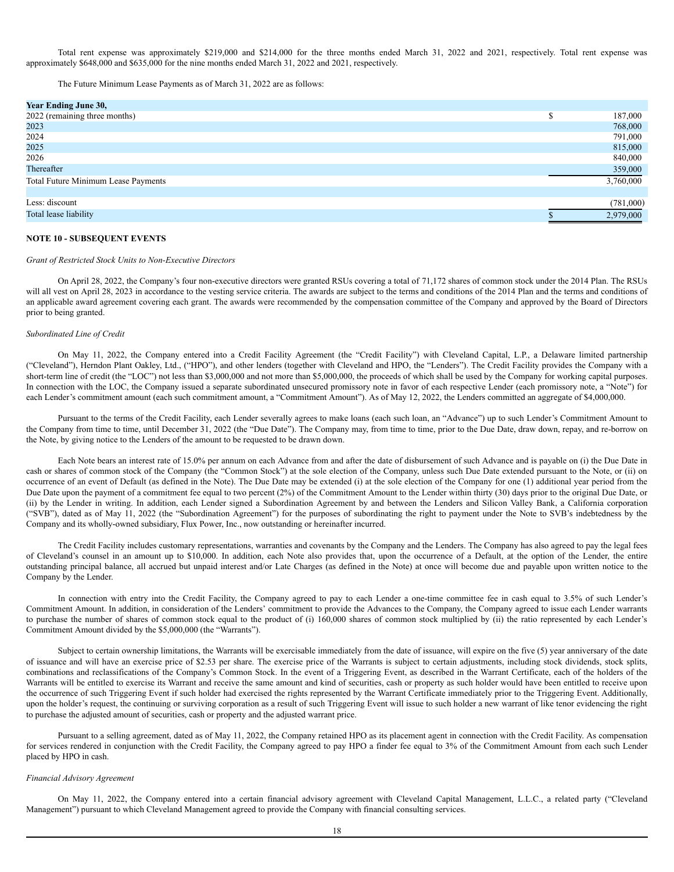Total rent expense was approximately \$219,000 and \$214,000 for the three months ended March 31, 2022 and 2021, respectively. Total rent expense was approximately \$648,000 and \$635,000 for the nine months ended March 31, 2022 and 2021, respectively.

The Future Minimum Lease Payments as of March 31, 2022 are as follows:

| Year Ending June 30,                |           |
|-------------------------------------|-----------|
| 2022 (remaining three months)       | 187,000   |
| 2023                                | 768,000   |
| 2024                                | 791,000   |
| 2025                                | 815,000   |
| 2026                                | 840,000   |
| Thereafter                          | 359,000   |
| Total Future Minimum Lease Payments | 3,760,000 |
|                                     |           |
| Less: discount                      | (781,000) |
| Total lease liability               | 2,979,000 |
|                                     |           |

# **NOTE 10 - SUBSEQUENT EVENTS**

#### *Grant of Restricted Stock Units to Non-Executive Directors*

On April 28, 2022, the Company's four non-executive directors were granted RSUs covering a total of 71,172 shares of common stock under the 2014 Plan. The RSUs will all vest on April 28, 2023 in accordance to the vesting service criteria. The awards are subject to the terms and conditions of the 2014 Plan and the terms and conditions of an applicable award agreement covering each grant. The awards were recommended by the compensation committee of the Company and approved by the Board of Directors prior to being granted.

#### *Subordinated Line of Credit*

On May 11, 2022, the Company entered into a Credit Facility Agreement (the "Credit Facility") with Cleveland Capital, L.P., a Delaware limited partnership ("Cleveland"), Herndon Plant Oakley, Ltd., ("HPO"), and other lenders (together with Cleveland and HPO, the "Lenders"). The Credit Facility provides the Company with a short-term line of credit (the "LOC") not less than \$3,000,000 and not more than \$5,000,000, the proceeds of which shall be used by the Company for working capital purposes. In connection with the LOC, the Company issued a separate subordinated unsecured promissory note in favor of each respective Lender (each promissory note, a "Note") for each Lender's commitment amount (each such commitment amount, a "Commitment Amount"). As of May 12, 2022, the Lenders committed an aggregate of \$4,000,000.

Pursuant to the terms of the Credit Facility, each Lender severally agrees to make loans (each such loan, an "Advance") up to such Lender's Commitment Amount to the Company from time to time, until December 31, 2022 (the "Due Date"). The Company may, from time to time, prior to the Due Date, draw down, repay, and re-borrow on the Note, by giving notice to the Lenders of the amount to be requested to be drawn down.

Each Note bears an interest rate of 15.0% per annum on each Advance from and after the date of disbursement of such Advance and is payable on (i) the Due Date in cash or shares of common stock of the Company (the "Common Stock") at the sole election of the Company, unless such Due Date extended pursuant to the Note, or (ii) on occurrence of an event of Default (as defined in the Note). The Due Date may be extended (i) at the sole election of the Company for one (1) additional year period from the Due Date upon the payment of a commitment fee equal to two percent (2%) of the Commitment Amount to the Lender within thirty (30) days prior to the original Due Date, or (ii) by the Lender in writing. In addition, each Lender signed a Subordination Agreement by and between the Lenders and Silicon Valley Bank, a California corporation ("SVB"), dated as of May 11, 2022 (the "Subordination Agreement") for the purposes of subordinating the right to payment under the Note to SVB's indebtedness by the Company and its wholly-owned subsidiary, Flux Power, Inc., now outstanding or hereinafter incurred.

The Credit Facility includes customary representations, warranties and covenants by the Company and the Lenders. The Company has also agreed to pay the legal fees of Cleveland's counsel in an amount up to \$10,000. In addition, each Note also provides that, upon the occurrence of a Default, at the option of the Lender, the entire outstanding principal balance, all accrued but unpaid interest and/or Late Charges (as defined in the Note) at once will become due and payable upon written notice to the Company by the Lender.

In connection with entry into the Credit Facility, the Company agreed to pay to each Lender a one-time committee fee in cash equal to 3.5% of such Lender's Commitment Amount. In addition, in consideration of the Lenders' commitment to provide the Advances to the Company, the Company agreed to issue each Lender warrants to purchase the number of shares of common stock equal to the product of (i) 160,000 shares of common stock multiplied by (ii) the ratio represented by each Lender's Commitment Amount divided by the \$5,000,000 (the "Warrants").

Subject to certain ownership limitations, the Warrants will be exercisable immediately from the date of issuance, will expire on the five (5) year anniversary of the date of issuance and will have an exercise price of \$2.53 per share. The exercise price of the Warrants is subject to certain adjustments, including stock dividends, stock splits, combinations and reclassifications of the Company's Common Stock. In the event of a Triggering Event, as described in the Warrant Certificate, each of the holders of the Warrants will be entitled to exercise its Warrant and receive the same amount and kind of securities, cash or property as such holder would have been entitled to receive upon the occurrence of such Triggering Event if such holder had exercised the rights represented by the Warrant Certificate immediately prior to the Triggering Event. Additionally, upon the holder's request, the continuing or surviving corporation as a result of such Triggering Event will issue to such holder a new warrant of like tenor evidencing the right to purchase the adjusted amount of securities, cash or property and the adjusted warrant price.

Pursuant to a selling agreement, dated as of May 11, 2022, the Company retained HPO as its placement agent in connection with the Credit Facility. As compensation for services rendered in conjunction with the Credit Facility, the Company agreed to pay HPO a finder fee equal to 3% of the Commitment Amount from each such Lender placed by HPO in cash.

#### *Financial Advisory Agreement*

On May 11, 2022, the Company entered into a certain financial advisory agreement with Cleveland Capital Management, L.L.C., a related party ("Cleveland Management") pursuant to which Cleveland Management agreed to provide the Company with financial consulting services.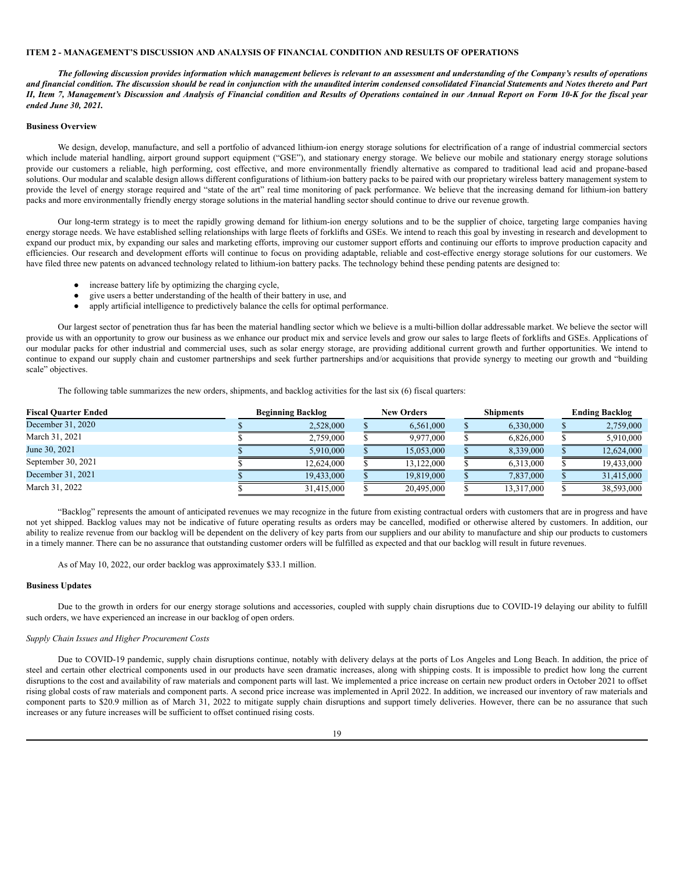#### <span id="page-18-0"></span>**ITEM 2 - MANAGEMENT'S DISCUSSION AND ANALYSIS OF FINANCIAL CONDITION AND RESULTS OF OPERATIONS**

The following discussion provides information which management believes is relevant to an assessment and understanding of the Company's results of operations and financial condition. The discussion should be read in conjunction with the unaudited interim condensed consolidated Financial Statements and Notes thereto and Part II, Item 7, Management's Discussion and Analysis of Financial condition and Results of Operations contained in our Annual Report on Form 10-K for the fiscal year *ended June 30, 2021.*

#### **Business Overview**

We design, develop, manufacture, and sell a portfolio of advanced lithium-ion energy storage solutions for electrification of a range of industrial commercial sectors which include material handling, airport ground support equipment ("GSE"), and stationary energy storage. We believe our mobile and stationary energy storage solutions provide our customers a reliable, high performing, cost effective, and more environmentally friendly alternative as compared to traditional lead acid and propane-based solutions. Our modular and scalable design allows different configurations of lithium-ion battery packs to be paired with our proprietary wireless battery management system to provide the level of energy storage required and "state of the art" real time monitoring of pack performance. We believe that the increasing demand for lithium-ion battery packs and more environmentally friendly energy storage solutions in the material handling sector should continue to drive our revenue growth.

Our long-term strategy is to meet the rapidly growing demand for lithium-ion energy solutions and to be the supplier of choice, targeting large companies having energy storage needs. We have established selling relationships with large fleets of forklifts and GSEs. We intend to reach this goal by investing in research and development to expand our product mix, by expanding our sales and marketing efforts, improving our customer support efforts and continuing our efforts to improve production capacity and efficiencies. Our research and development efforts will continue to focus on providing adaptable, reliable and cost-effective energy storage solutions for our customers. We have filed three new patents on advanced technology related to lithium-ion battery packs. The technology behind these pending patents are designed to:

- increase battery life by optimizing the charging cycle,
- give users a better understanding of the health of their battery in use, and
- apply artificial intelligence to predictively balance the cells for optimal performance.

Our largest sector of penetration thus far has been the material handling sector which we believe is a multi-billion dollar addressable market. We believe the sector will provide us with an opportunity to grow our business as we enhance our product mix and service levels and grow our sales to large fleets of forklifts and GSEs. Applications of our modular packs for other industrial and commercial uses, such as solar energy storage, are providing additional current growth and further opportunities. We intend to continue to expand our supply chain and customer partnerships and seek further partnerships and/or acquisitions that provide synergy to meeting our growth and "building scale" objectives.

The following table summarizes the new orders, shipments, and backlog activities for the last six (6) fiscal quarters:

| <b>Fiscal Quarter Ended</b> | <b>Beginning Backlog</b> |  | <b>New Orders</b> |  | <b>Shipments</b> | <b>Ending Backlog</b> |  |
|-----------------------------|--------------------------|--|-------------------|--|------------------|-----------------------|--|
| December 31, 2020           | 2.528,000                |  | 6,561,000         |  | 6,330,000        | 2,759,000             |  |
| March 31, 2021              | 2,759,000                |  | 9,977,000         |  | 6.826.000        | 5,910,000             |  |
| June 30, 2021               | 5.910.000                |  | 15,053,000        |  | 8,339,000        | 12.624.000            |  |
| September 30, 2021          | 12.624.000               |  | 13.122.000        |  | 6.313.000        | 19.433.000            |  |
| December 31, 2021           | 19.433,000               |  | 19.819.000        |  | 7.837.000        | 31,415,000            |  |
| March 31, 2022              | 31,415,000               |  | 20,495,000        |  | 13,317,000       | 38,593,000            |  |

"Backlog" represents the amount of anticipated revenues we may recognize in the future from existing contractual orders with customers that are in progress and have not yet shipped. Backlog values may not be indicative of future operating results as orders may be cancelled, modified or otherwise altered by customers. In addition, our ability to realize revenue from our backlog will be dependent on the delivery of key parts from our suppliers and our ability to manufacture and ship our products to customers in a timely manner. There can be no assurance that outstanding customer orders will be fulfilled as expected and that our backlog will result in future revenues.

As of May 10, 2022, our order backlog was approximately \$33.1 million.

#### **Business Updates**

Due to the growth in orders for our energy storage solutions and accessories, coupled with supply chain disruptions due to COVID-19 delaying our ability to fulfill such orders, we have experienced an increase in our backlog of open orders.

# *Supply Chain Issues and Higher Procurement Costs*

Due to COVID-19 pandemic, supply chain disruptions continue, notably with delivery delays at the ports of Los Angeles and Long Beach. In addition, the price of steel and certain other electrical components used in our products have seen dramatic increases, along with shipping costs. It is impossible to predict how long the current disruptions to the cost and availability of raw materials and component parts will last. We implemented a price increase on certain new product orders in October 2021 to offset rising global costs of raw materials and component parts. A second price increase was implemented in April 2022. In addition, we increased our inventory of raw materials and component parts to \$20.9 million as of March 31, 2022 to mitigate supply chain disruptions and support timely deliveries. However, there can be no assurance that such increases or any future increases will be sufficient to offset continued rising costs.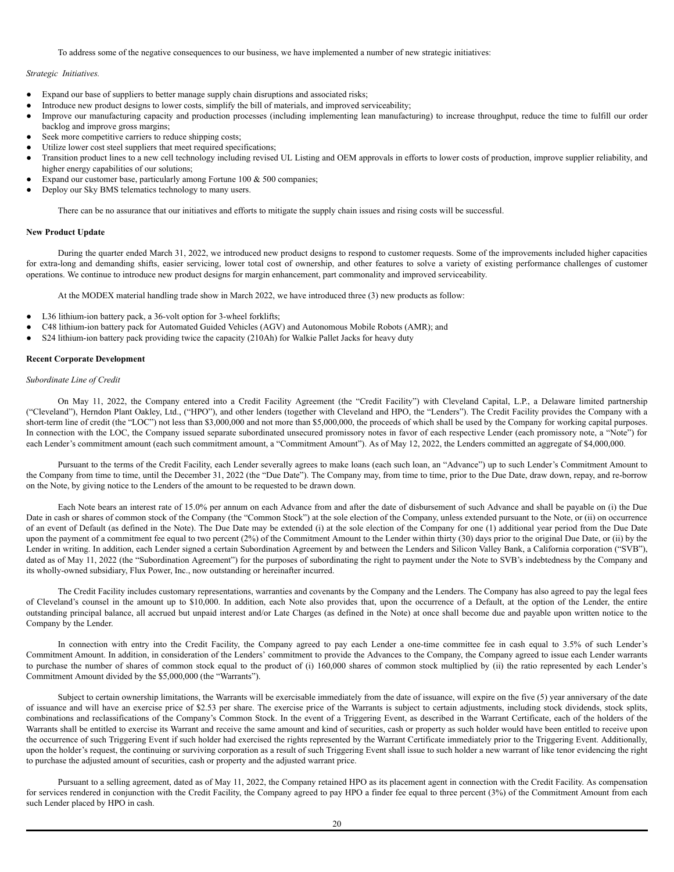To address some of the negative consequences to our business, we have implemented a number of new strategic initiatives:

#### *Strategic Initiatives.*

- Expand our base of suppliers to better manage supply chain disruptions and associated risks;
- Introduce new product designs to lower costs, simplify the bill of materials, and improved serviceability;
- Improve our manufacturing capacity and production processes (including implementing lean manufacturing) to increase throughput, reduce the time to fulfill our order backlog and improve gross margins;
- Seek more competitive carriers to reduce shipping costs;
- Utilize lower cost steel suppliers that meet required specifications;
- Transition product lines to a new cell technology including revised UL Listing and OEM approvals in efforts to lower costs of production, improve supplier reliability, and higher energy capabilities of our solutions;
- Expand our customer base, particularly among Fortune  $100 \& 500$  companies;
- Deploy our Sky BMS telematics technology to many users.

There can be no assurance that our initiatives and efforts to mitigate the supply chain issues and rising costs will be successful.

#### **New Product Update**

During the quarter ended March 31, 2022, we introduced new product designs to respond to customer requests. Some of the improvements included higher capacities for extra-long and demanding shifts, easier servicing, lower total cost of ownership, and other features to solve a variety of existing performance challenges of customer operations. We continue to introduce new product designs for margin enhancement, part commonality and improved serviceability.

At the MODEX material handling trade show in March 2022, we have introduced three (3) new products as follow:

- L36 lithium-ion battery pack, a 36-volt option for 3-wheel forklifts;
- C48 lithium-ion battery pack for Automated Guided Vehicles (AGV) and Autonomous Mobile Robots (AMR); and
- S24 lithium-ion battery pack providing twice the capacity (210Ah) for Walkie Pallet Jacks for heavy duty

# **Recent Corporate Development**

### *Subordinate Line of Credit*

On May 11, 2022, the Company entered into a Credit Facility Agreement (the "Credit Facility") with Cleveland Capital, L.P., a Delaware limited partnership ("Cleveland"), Herndon Plant Oakley, Ltd., ("HPO"), and other lenders (together with Cleveland and HPO, the "Lenders"). The Credit Facility provides the Company with a short-term line of credit (the "LOC") not less than \$3,000,000 and not more than \$5,000,000, the proceeds of which shall be used by the Company for working capital purposes. In connection with the LOC, the Company issued separate subordinated unsecured promissory notes in favor of each respective Lender (each promissory note, a "Note") for each Lender's commitment amount (each such commitment amount, a "Commitment Amount"). As of May 12, 2022, the Lenders committed an aggregate of \$4,000,000.

Pursuant to the terms of the Credit Facility, each Lender severally agrees to make loans (each such loan, an "Advance") up to such Lender's Commitment Amount to the Company from time to time, until the December 31, 2022 (the "Due Date"). The Company may, from time to time, prior to the Due Date, draw down, repay, and re-borrow on the Note, by giving notice to the Lenders of the amount to be requested to be drawn down.

Each Note bears an interest rate of 15.0% per annum on each Advance from and after the date of disbursement of such Advance and shall be payable on (i) the Due Date in cash or shares of common stock of the Company (the "Common Stock") at the sole election of the Company, unless extended pursuant to the Note, or (ii) on occurrence of an event of Default (as defined in the Note). The Due Date may be extended (i) at the sole election of the Company for one (1) additional year period from the Due Date upon the payment of a commitment fee equal to two percent (2%) of the Commitment Amount to the Lender within thirty (30) days prior to the original Due Date, or (ii) by the Lender in writing. In addition, each Lender signed a certain Subordination Agreement by and between the Lenders and Silicon Valley Bank, a California corporation ("SVB"), dated as of May 11, 2022 (the "Subordination Agreement") for the purposes of subordinating the right to payment under the Note to SVB's indebtedness by the Company and its wholly-owned subsidiary, Flux Power, Inc., now outstanding or hereinafter incurred.

The Credit Facility includes customary representations, warranties and covenants by the Company and the Lenders. The Company has also agreed to pay the legal fees of Cleveland's counsel in the amount up to \$10,000. In addition, each Note also provides that, upon the occurrence of a Default, at the option of the Lender, the entire outstanding principal balance, all accrued but unpaid interest and/or Late Charges (as defined in the Note) at once shall become due and payable upon written notice to the Company by the Lender.

In connection with entry into the Credit Facility, the Company agreed to pay each Lender a one-time committee fee in cash equal to 3.5% of such Lender's Commitment Amount. In addition, in consideration of the Lenders' commitment to provide the Advances to the Company, the Company agreed to issue each Lender warrants to purchase the number of shares of common stock equal to the product of (i) 160,000 shares of common stock multiplied by (ii) the ratio represented by each Lender's Commitment Amount divided by the \$5,000,000 (the "Warrants").

Subject to certain ownership limitations, the Warrants will be exercisable immediately from the date of issuance, will expire on the five (5) year anniversary of the date of issuance and will have an exercise price of \$2.53 per share. The exercise price of the Warrants is subject to certain adjustments, including stock dividends, stock splits, combinations and reclassifications of the Company's Common Stock. In the event of a Triggering Event, as described in the Warrant Certificate, each of the holders of the Warrants shall be entitled to exercise its Warrant and receive the same amount and kind of securities, cash or property as such holder would have been entitled to receive upon the occurrence of such Triggering Event if such holder had exercised the rights represented by the Warrant Certificate immediately prior to the Triggering Event. Additionally, upon the holder's request, the continuing or surviving corporation as a result of such Triggering Event shall issue to such holder a new warrant of like tenor evidencing the right to purchase the adjusted amount of securities, cash or property and the adjusted warrant price.

Pursuant to a selling agreement, dated as of May 11, 2022, the Company retained HPO as its placement agent in connection with the Credit Facility. As compensation for services rendered in conjunction with the Credit Facility, the Company agreed to pay HPO a finder fee equal to three percent (3%) of the Commitment Amount from each such Lender placed by HPO in cash.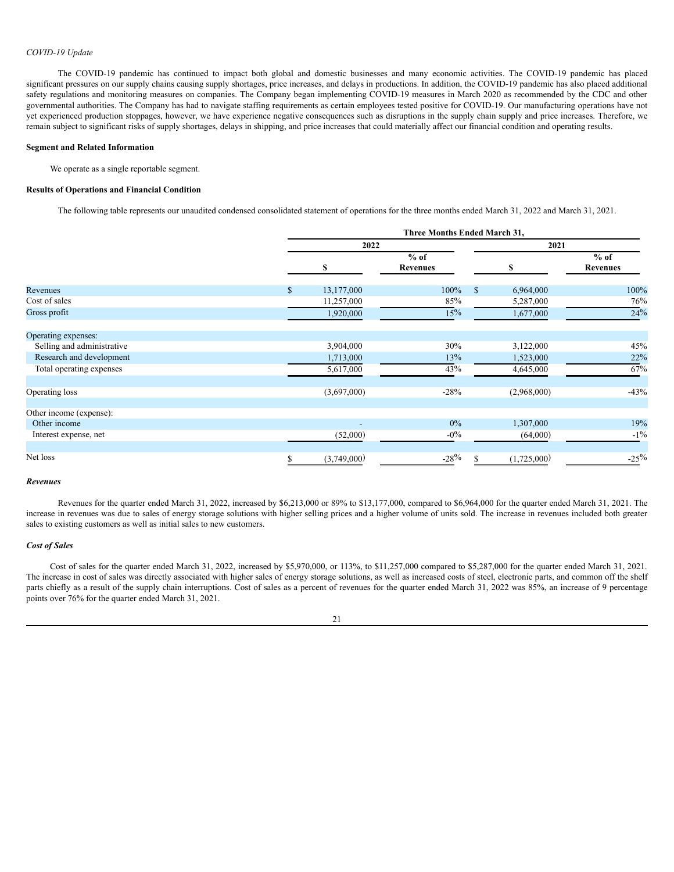# *COVID-19 Update*

The COVID-19 pandemic has continued to impact both global and domestic businesses and many economic activities. The COVID-19 pandemic has placed significant pressures on our supply chains causing supply shortages, price increases, and delays in productions. In addition, the COVID-19 pandemic has also placed additional safety regulations and monitoring measures on companies. The Company began implementing COVID-19 measures in March 2020 as recommended by the CDC and other governmental authorities. The Company has had to navigate staffing requirements as certain employees tested positive for COVID-19. Our manufacturing operations have not yet experienced production stoppages, however, we have experience negative consequences such as disruptions in the supply chain supply and price increases. Therefore, we remain subject to significant risks of supply shortages, delays in shipping, and price increases that could materially affect our financial condition and operating results.

# **Segment and Related Information**

We operate as a single reportable segment.

# **Results of Operations and Financial Condition**

The following table represents our unaudited condensed consolidated statement of operations for the three months ended March 31, 2022 and March 31, 2021.

|                            |              | Three Months Ended March 31, |                           |              |             |                           |  |
|----------------------------|--------------|------------------------------|---------------------------|--------------|-------------|---------------------------|--|
|                            |              | 2022                         |                           |              |             |                           |  |
|                            |              |                              | $%$ of<br><b>Revenues</b> |              | S           | $%$ of<br><b>Revenues</b> |  |
| Revenues                   | $\mathbb{S}$ | 13,177,000                   | 100%                      | <sup>S</sup> | 6,964,000   | 100%                      |  |
| Cost of sales              |              | 11,257,000                   | 85%                       |              | 5,287,000   | 76%                       |  |
| Gross profit               |              | 1,920,000                    | 15%                       |              | 1,677,000   | 24%                       |  |
| Operating expenses:        |              |                              |                           |              |             |                           |  |
| Selling and administrative |              | 3,904,000                    | 30%                       |              | 3,122,000   | 45%                       |  |
| Research and development   |              | 1,713,000                    | 13%                       |              | 1,523,000   | 22%                       |  |
| Total operating expenses   |              | 5,617,000                    | 43%                       |              | 4,645,000   | 67%                       |  |
| Operating loss             |              | (3,697,000)                  | $-28%$                    |              | (2,968,000) | $-43%$                    |  |
| Other income (expense):    |              |                              |                           |              |             |                           |  |
| Other income               |              |                              | $0\%$                     |              | 1,307,000   | 19%                       |  |
| Interest expense, net      |              | (52,000)                     | $-0\%$                    |              | (64,000)    | $-1\%$                    |  |
| Net loss                   |              | (3,749,000)                  | $-28%$                    |              | (1,725,000) | $-25%$                    |  |

#### *Revenues*

Revenues for the quarter ended March 31, 2022, increased by \$6,213,000 or 89% to \$13,177,000, compared to \$6,964,000 for the quarter ended March 31, 2021. The increase in revenues was due to sales of energy storage solutions with higher selling prices and a higher volume of units sold. The increase in revenues included both greater sales to existing customers as well as initial sales to new customers.

# *Cost of Sales*

Cost of sales for the quarter ended March 31, 2022, increased by \$5,970,000, or 113%, to \$11,257,000 compared to \$5,287,000 for the quarter ended March 31, 2021. The increase in cost of sales was directly associated with higher sales of energy storage solutions, as well as increased costs of steel, electronic parts, and common off the shelf parts chiefly as a result of the supply chain interruptions. Cost of sales as a percent of revenues for the quarter ended March 31, 2022 was 85%, an increase of 9 percentage points over 76% for the quarter ended March 31, 2021.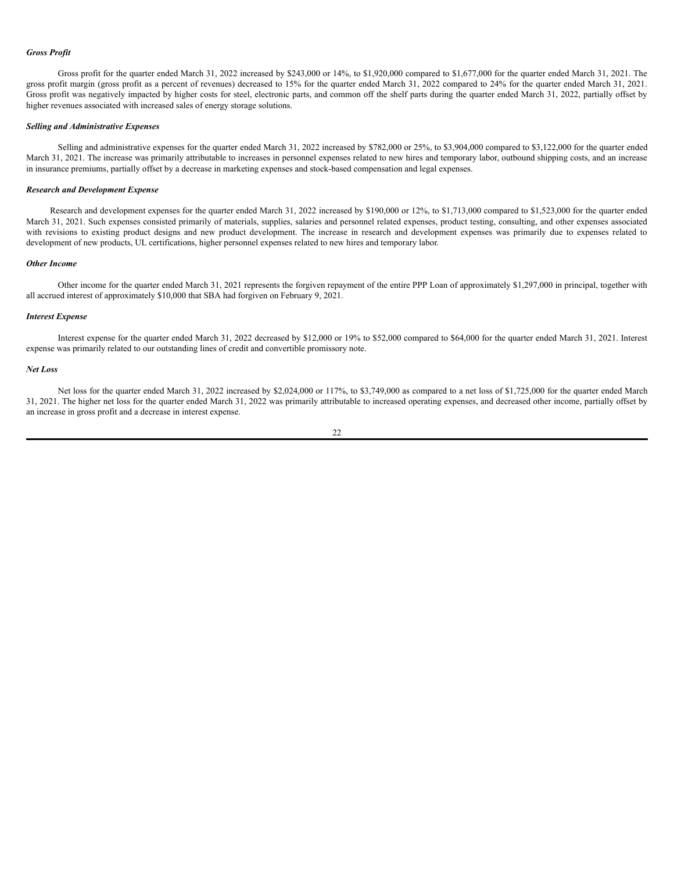#### *Gross Profit*

Gross profit for the quarter ended March 31, 2022 increased by \$243,000 or 14%, to \$1,920,000 compared to \$1,677,000 for the quarter ended March 31, 2021. The gross profit margin (gross profit as a percent of revenues) decreased to 15% for the quarter ended March 31, 2022 compared to 24% for the quarter ended March 31, 2021. Gross profit was negatively impacted by higher costs for steel, electronic parts, and common off the shelf parts during the quarter ended March 31, 2022, partially offset by higher revenues associated with increased sales of energy storage solutions.

#### *Selling and Administrative Expenses*

Selling and administrative expenses for the quarter ended March 31, 2022 increased by \$782,000 or 25%, to \$3,904,000 compared to \$3,122,000 for the quarter ended March 31, 2021. The increase was primarily attributable to increases in personnel expenses related to new hires and temporary labor, outbound shipping costs, and an increase in insurance premiums, partially offset by a decrease in marketing expenses and stock-based compensation and legal expenses.

### *Research and Development Expense*

Research and development expenses for the quarter ended March 31, 2022 increased by \$190,000 or 12%, to \$1,713,000 compared to \$1,523,000 for the quarter ended March 31, 2021. Such expenses consisted primarily of materials, supplies, salaries and personnel related expenses, product testing, consulting, and other expenses associated with revisions to existing product designs and new product development. The increase in research and development expenses was primarily due to expenses related to development of new products, UL certifications, higher personnel expenses related to new hires and temporary labor.

### *Other Income*

Other income for the quarter ended March 31, 2021 represents the forgiven repayment of the entire PPP Loan of approximately \$1,297,000 in principal, together with all accrued interest of approximately \$10,000 that SBA had forgiven on February 9, 2021.

# *Interest Expense*

Interest expense for the quarter ended March 31, 2022 decreased by \$12,000 or 19% to \$52,000 compared to \$64,000 for the quarter ended March 31, 2021. Interest expense was primarily related to our outstanding lines of credit and convertible promissory note.

#### *Net Loss*

Net loss for the quarter ended March 31, 2022 increased by \$2,024,000 or 117%, to \$3,749,000 as compared to a net loss of \$1,725,000 for the quarter ended March 31, 2021. The higher net loss for the quarter ended March 31, 2022 was primarily attributable to increased operating expenses, and decreased other income, partially offset by an increase in gross profit and a decrease in interest expense.

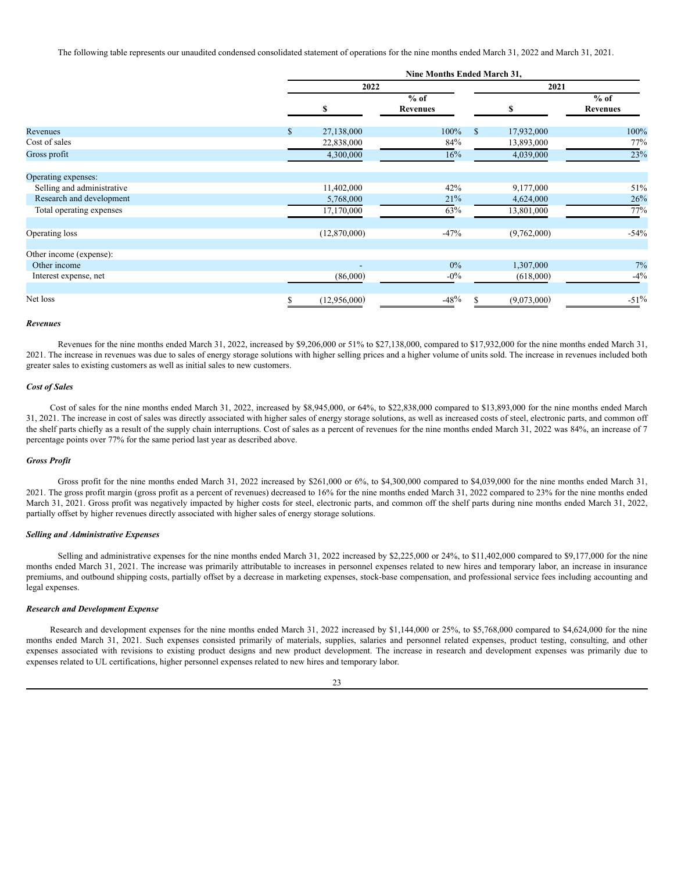The following table represents our unaudited condensed consolidated statement of operations for the nine months ended March 31, 2022 and March 31, 2021.

|                            | Nine Months Ended March 31, |                           |               |             |                           |  |  |
|----------------------------|-----------------------------|---------------------------|---------------|-------------|---------------------------|--|--|
|                            | 2022                        |                           |               | 2021        |                           |  |  |
|                            |                             | $%$ of<br><b>Revenues</b> |               | \$          | $%$ of<br><b>Revenues</b> |  |  |
| Revenues                   | \$<br>27,138,000            | 100%                      | <sup>\$</sup> | 17,932,000  | 100%                      |  |  |
| Cost of sales              | 22,838,000                  | 84%                       |               | 13,893,000  | 77%                       |  |  |
| Gross profit               | 4,300,000                   | 16%                       |               | 4,039,000   | 23%                       |  |  |
| Operating expenses:        |                             |                           |               |             |                           |  |  |
| Selling and administrative | 11,402,000                  | 42%                       |               | 9,177,000   | 51%                       |  |  |
| Research and development   | 5,768,000                   | 21%                       |               | 4,624,000   | 26%                       |  |  |
| Total operating expenses   | 17,170,000                  | 63%                       |               | 13,801,000  | 77%                       |  |  |
| Operating loss             | (12,870,000)                | $-47%$                    |               | (9,762,000) | $-54%$                    |  |  |
| Other income (expense):    |                             |                           |               |             |                           |  |  |
| Other income               |                             | $0\%$                     |               | 1,307,000   | 7%                        |  |  |
| Interest expense, net      | (86,000)                    | $-0\%$                    |               | (618,000)   | $-4%$                     |  |  |
| Net loss                   | (12,956,000)                | $-48%$                    |               | (9,073,000) | $-51\%$                   |  |  |

#### *Revenues*

Revenues for the nine months ended March 31, 2022, increased by \$9,206,000 or 51% to \$27,138,000, compared to \$17,932,000 for the nine months ended March 31, 2021. The increase in revenues was due to sales of energy storage solutions with higher selling prices and a higher volume of units sold. The increase in revenues included both greater sales to existing customers as well as initial sales to new customers.

# *Cost of Sales*

Cost of sales for the nine months ended March 31, 2022, increased by \$8,945,000, or 64%, to \$22,838,000 compared to \$13,893,000 for the nine months ended March 31, 2021. The increase in cost of sales was directly associated with higher sales of energy storage solutions, as well as increased costs of steel, electronic parts, and common off the shelf parts chiefly as a result of the supply chain interruptions. Cost of sales as a percent of revenues for the nine months ended March 31, 2022 was 84%, an increase of 7 percentage points over 77% for the same period last year as described above.

# *Gross Profit*

Gross profit for the nine months ended March 31, 2022 increased by \$261,000 or 6%, to \$4,300,000 compared to \$4,039,000 for the nine months ended March 31, 2021. The gross profit margin (gross profit as a percent of revenues) decreased to 16% for the nine months ended March 31, 2022 compared to 23% for the nine months ended March 31, 2021. Gross profit was negatively impacted by higher costs for steel, electronic parts, and common off the shelf parts during nine months ended March 31, 2022, partially offset by higher revenues directly associated with higher sales of energy storage solutions.

#### *Selling and Administrative Expenses*

Selling and administrative expenses for the nine months ended March 31, 2022 increased by \$2,225,000 or 24%, to \$11,402,000 compared to \$9,177,000 for the nine months ended March 31, 2021. The increase was primarily attributable to increases in personnel expenses related to new hires and temporary labor, an increase in insurance premiums, and outbound shipping costs, partially offset by a decrease in marketing expenses, stock-base compensation, and professional service fees including accounting and legal expenses.

#### *Research and Development Expense*

Research and development expenses for the nine months ended March 31, 2022 increased by \$1,144,000 or 25%, to \$5,768,000 compared to \$4,624,000 for the nine months ended March 31, 2021. Such expenses consisted primarily of materials, supplies, salaries and personnel related expenses, product testing, consulting, and other expenses associated with revisions to existing product designs and new product development. The increase in research and development expenses was primarily due to expenses related to UL certifications, higher personnel expenses related to new hires and temporary labor.

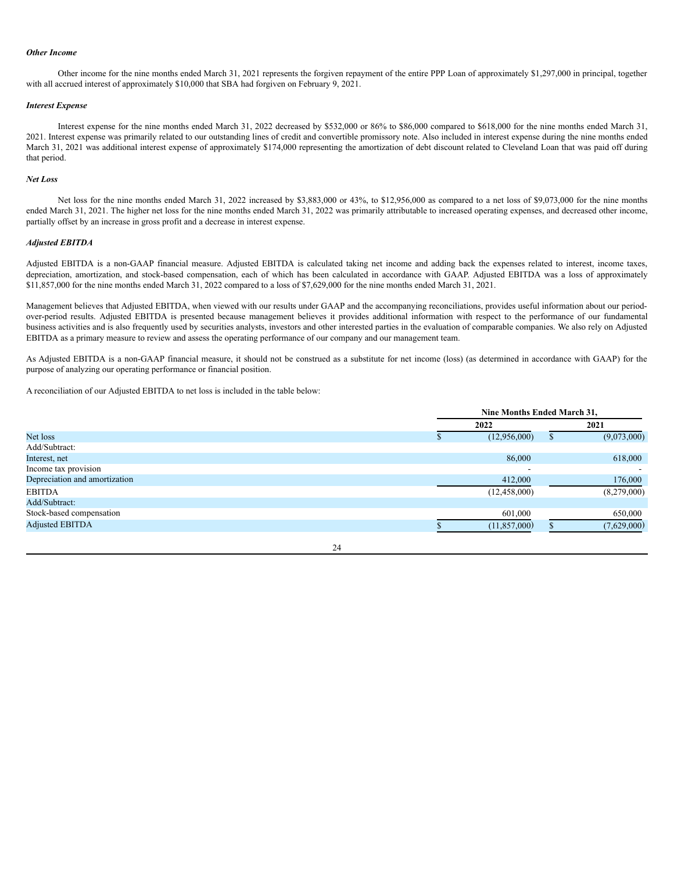# *Other Income*

Other income for the nine months ended March 31, 2021 represents the forgiven repayment of the entire PPP Loan of approximately \$1,297,000 in principal, together with all accrued interest of approximately \$10,000 that SBA had forgiven on February 9, 2021.

# *Interest Expense*

Interest expense for the nine months ended March 31, 2022 decreased by \$532,000 or 86% to \$86,000 compared to \$618,000 for the nine months ended March 31, 2021. Interest expense was primarily related to our outstanding lines of credit and convertible promissory note. Also included in interest expense during the nine months ended March 31, 2021 was additional interest expense of approximately \$174,000 representing the amortization of debt discount related to Cleveland Loan that was paid off during that period.

# *Net Loss*

Net loss for the nine months ended March 31, 2022 increased by \$3,883,000 or 43%, to \$12,956,000 as compared to a net loss of \$9,073,000 for the nine months ended March 31, 2021. The higher net loss for the nine months ended March 31, 2022 was primarily attributable to increased operating expenses, and decreased other income, partially offset by an increase in gross profit and a decrease in interest expense.

# *Adjusted EBITDA*

Adjusted EBITDA is a non-GAAP financial measure. Adjusted EBITDA is calculated taking net income and adding back the expenses related to interest, income taxes, depreciation, amortization, and stock-based compensation, each of which has been calculated in accordance with GAAP. Adjusted EBITDA was a loss of approximately \$11,857,000 for the nine months ended March 31, 2022 compared to a loss of \$7,629,000 for the nine months ended March 31, 2021.

Management believes that Adjusted EBITDA, when viewed with our results under GAAP and the accompanying reconciliations, provides useful information about our periodover-period results. Adjusted EBITDA is presented because management believes it provides additional information with respect to the performance of our fundamental business activities and is also frequently used by securities analysts, investors and other interested parties in the evaluation of comparable companies. We also rely on Adjusted EBITDA as a primary measure to review and assess the operating performance of our company and our management team.

As Adjusted EBITDA is a non-GAAP financial measure, it should not be construed as a substitute for net income (loss) (as determined in accordance with GAAP) for the purpose of analyzing our operating performance or financial position.

A reconciliation of our Adjusted EBITDA to net loss is included in the table below:

|                               |                          | Nine Months Ended March 31, |  |  |  |
|-------------------------------|--------------------------|-----------------------------|--|--|--|
|                               | 2022                     | 2021                        |  |  |  |
| Net loss                      | (12,956,000)             | (9,073,000)                 |  |  |  |
| Add/Subtract:                 |                          |                             |  |  |  |
| Interest, net                 | 86,000                   | 618,000                     |  |  |  |
| Income tax provision          | $\overline{\phantom{0}}$ |                             |  |  |  |
| Depreciation and amortization | 412,000                  | 176,000                     |  |  |  |
| <b>EBITDA</b>                 | (12, 458, 000)           | (8,279,000)                 |  |  |  |
| Add/Subtract:                 |                          |                             |  |  |  |
| Stock-based compensation      | 601,000                  | 650,000                     |  |  |  |
| <b>Adjusted EBITDA</b>        | (11, 857, 000)           | (7,629,000)                 |  |  |  |
|                               |                          |                             |  |  |  |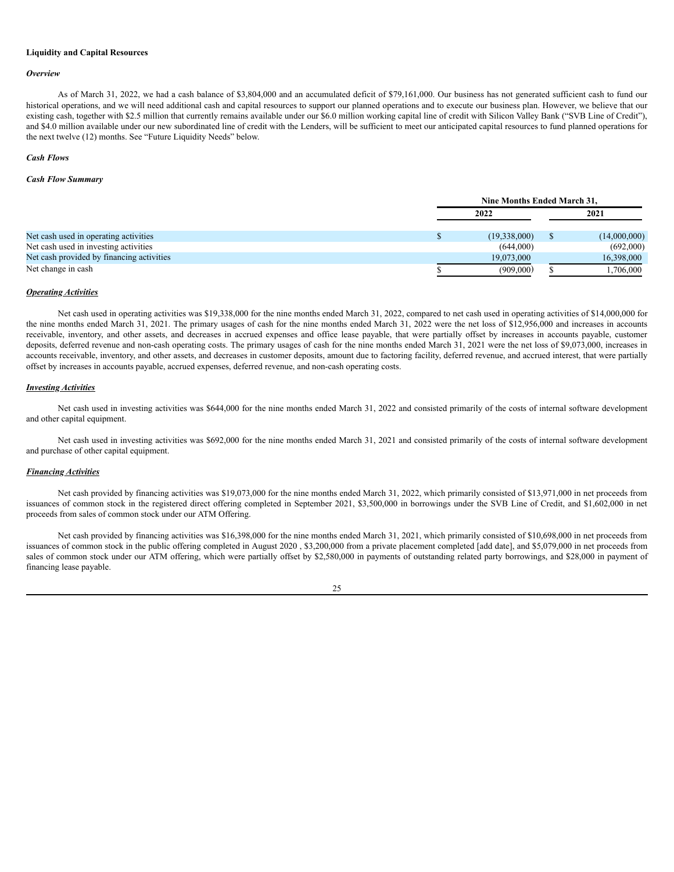# **Liquidity and Capital Resources**

#### *Overview*

As of March 31, 2022, we had a cash balance of \$3,804,000 and an accumulated deficit of \$79,161,000. Our business has not generated sufficient cash to fund our historical operations, and we will need additional cash and capital resources to support our planned operations and to execute our business plan. However, we believe that our existing cash, together with \$2.5 million that currently remains available under our \$6.0 million working capital line of credit with Silicon Valley Bank ("SVB Line of Credit"), and \$4.0 million available under our new subordinated line of credit with the Lenders, will be sufficient to meet our anticipated capital resources to fund planned operations for the next twelve (12) months. See "Future Liquidity Needs" below.

# *Cash Flows*

# *Cash Flow Summary*

|                                           | <b>Nine Months Ended March 31.</b> |  |              |  |
|-------------------------------------------|------------------------------------|--|--------------|--|
|                                           | 2022                               |  | 2021         |  |
| Net cash used in operating activities     | (19,338,000)                       |  | (14,000,000) |  |
| Net cash used in investing activities     | (644.000)                          |  | (692,000)    |  |
| Net cash provided by financing activities | 19.073.000                         |  | 16,398,000   |  |
| Net change in cash                        | (909,000)                          |  | ,706,000     |  |

# *Operating Activities*

Net cash used in operating activities was \$19,338,000 for the nine months ended March 31, 2022, compared to net cash used in operating activities of \$14,000,000 for the nine months ended March 31, 2021. The primary usages of cash for the nine months ended March 31, 2022 were the net loss of \$12,956,000 and increases in accounts receivable, inventory, and other assets, and decreases in accrued expenses and office lease payable, that were partially offset by increases in accounts payable, customer deposits, deferred revenue and non-cash operating costs. The primary usages of cash for the nine months ended March 31, 2021 were the net loss of \$9,073,000, increases in accounts receivable, inventory, and other assets, and decreases in customer deposits, amount due to factoring facility, deferred revenue, and accrued interest, that were partially offset by increases in accounts payable, accrued expenses, deferred revenue, and non-cash operating costs.

#### *Investing Activities*

Net cash used in investing activities was \$644,000 for the nine months ended March 31, 2022 and consisted primarily of the costs of internal software development and other capital equipment.

Net cash used in investing activities was \$692,000 for the nine months ended March 31, 2021 and consisted primarily of the costs of internal software development and purchase of other capital equipment.

# *Financing Activities*

Net cash provided by financing activities was \$19,073,000 for the nine months ended March 31, 2022, which primarily consisted of \$13,971,000 in net proceeds from issuances of common stock in the registered direct offering completed in September 2021, \$3,500,000 in borrowings under the SVB Line of Credit, and \$1,602,000 in net proceeds from sales of common stock under our ATM Offering.

Net cash provided by financing activities was \$16,398,000 for the nine months ended March 31, 2021, which primarily consisted of \$10,698,000 in net proceeds from issuances of common stock in the public offering completed in August 2020 , \$3,200,000 from a private placement completed [add date], and \$5,079,000 in net proceeds from sales of common stock under our ATM offering, which were partially offset by \$2,580,000 in payments of outstanding related party borrowings, and \$28,000 in payment of financing lease payable.

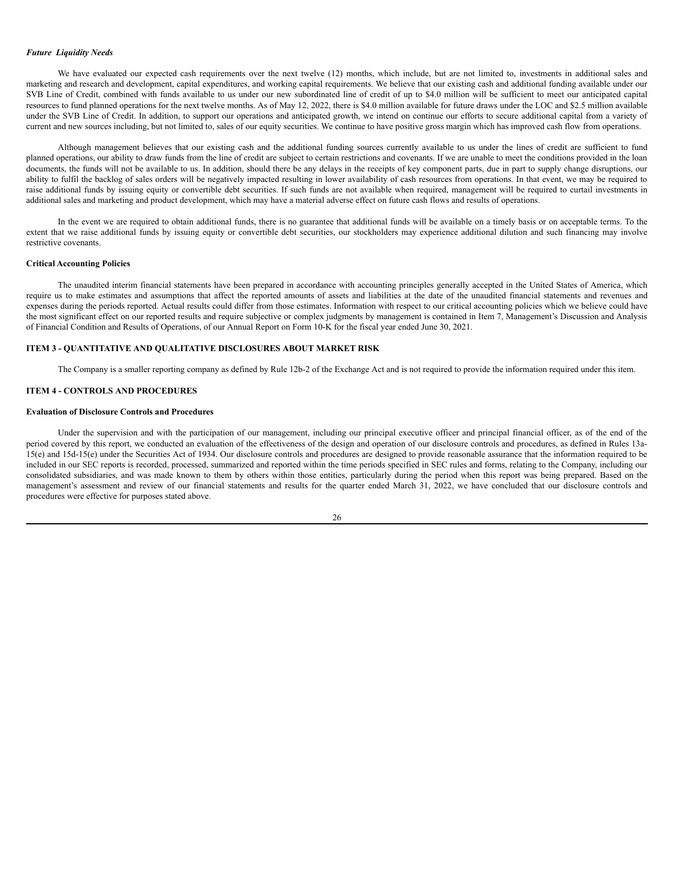# *Future Liquidity Needs*

We have evaluated our expected cash requirements over the next twelve (12) months, which include, but are not limited to, investments in additional sales and marketing and research and development, capital expenditures, and working capital requirements. We believe that our existing cash and additional funding available under our SVB Line of Credit, combined with funds available to us under our new subordinated line of credit of up to \$4.0 million will be sufficient to meet our anticipated capital resources to fund planned operations for the next twelve months. As of May 12, 2022, there is \$4.0 million available for future draws under the LOC and \$2.5 million available under the SVB Line of Credit. In addition, to support our operations and anticipated growth, we intend on continue our efforts to secure additional capital from a variety of current and new sources including, but not limited to, sales of our equity securities. We continue to have positive gross margin which has improved cash flow from operations.

Although management believes that our existing cash and the additional funding sources currently available to us under the lines of credit are sufficient to fund planned operations, our ability to draw funds from the line of credit are subject to certain restrictions and covenants. If we are unable to meet the conditions provided in the loan documents, the funds will not be available to us. In addition, should there be any delays in the receipts of key component parts, due in part to supply change disruptions, our ability to fulfil the backlog of sales orders will be negatively impacted resulting in lower availability of cash resources from operations. In that event, we may be required to raise additional funds by issuing equity or convertible debt securities. If such funds are not available when required, management will be required to curtail investments in additional sales and marketing and product development, which may have a material adverse effect on future cash flows and results of operations.

In the event we are required to obtain additional funds, there is no guarantee that additional funds will be available on a timely basis or on acceptable terms. To the extent that we raise additional funds by issuing equity or convertible debt securities, our stockholders may experience additional dilution and such financing may involve restrictive covenants.

#### **Critical Accounting Policies**

The unaudited interim financial statements have been prepared in accordance with accounting principles generally accepted in the United States of America, which require us to make estimates and assumptions that affect the reported amounts of assets and liabilities at the date of the unaudited financial statements and revenues and expenses during the periods reported. Actual results could differ from those estimates. Information with respect to our critical accounting policies which we believe could have the most significant effect on our reported results and require subjective or complex judgments by management is contained in Item 7, Management's Discussion and Analysis of Financial Condition and Results of Operations, of our Annual Report on Form 10-K for the fiscal year ended June 30, 2021.

#### <span id="page-25-0"></span>**ITEM 3 - QUANTITATIVE AND QUALITATIVE DISCLOSURES ABOUT MARKET RISK**

The Company is a smaller reporting company as defined by Rule 12b-2 of the Exchange Act and is not required to provide the information required under this item.

#### <span id="page-25-1"></span>**ITEM 4 - CONTROLS AND PROCEDURES**

#### **Evaluation of Disclosure Controls and Procedures**

Under the supervision and with the participation of our management, including our principal executive officer and principal financial officer, as of the end of the period covered by this report, we conducted an evaluation of the effectiveness of the design and operation of our disclosure controls and procedures, as defined in Rules 13a-15(e) and 15d-15(e) under the Securities Act of 1934. Our disclosure controls and procedures are designed to provide reasonable assurance that the information required to be included in our SEC reports is recorded, processed, summarized and reported within the time periods specified in SEC rules and forms, relating to the Company, including our consolidated subsidiaries, and was made known to them by others within those entities, particularly during the period when this report was being prepared. Based on the management's assessment and review of our financial statements and results for the quarter ended March 31, 2022, we have concluded that our disclosure controls and procedures were effective for purposes stated above.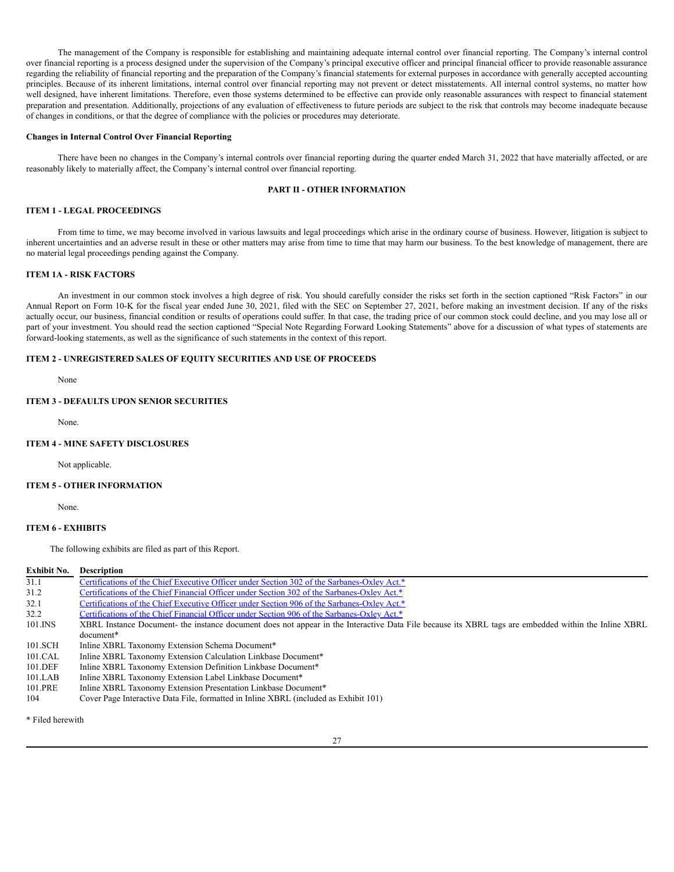The management of the Company is responsible for establishing and maintaining adequate internal control over financial reporting. The Company's internal control over financial reporting is a process designed under the supervision of the Company's principal executive officer and principal financial officer to provide reasonable assurance regarding the reliability of financial reporting and the preparation of the Company's financial statements for external purposes in accordance with generally accepted accounting principles. Because of its inherent limitations, internal control over financial reporting may not prevent or detect misstatements. All internal control systems, no matter how well designed, have inherent limitations. Therefore, even those systems determined to be effective can provide only reasonable assurances with respect to financial statement preparation and presentation. Additionally, projections of any evaluation of effectiveness to future periods are subject to the risk that controls may become inadequate because of changes in conditions, or that the degree of compliance with the policies or procedures may deteriorate.

# **Changes in Internal Control Over Financial Reporting**

There have been no changes in the Company's internal controls over financial reporting during the quarter ended March 31, 2022 that have materially affected, or are reasonably likely to materially affect, the Company's internal control over financial reporting.

# **PART II - OTHER INFORMATION**

# <span id="page-26-1"></span><span id="page-26-0"></span>**ITEM 1 - LEGAL PROCEEDINGS**

From time to time, we may become involved in various lawsuits and legal proceedings which arise in the ordinary course of business. However, litigation is subject to inherent uncertainties and an adverse result in these or other matters may arise from time to time that may harm our business. To the best knowledge of management, there are no material legal proceedings pending against the Company.

# <span id="page-26-2"></span>**ITEM 1A - RISK FACTORS**

An investment in our common stock involves a high degree of risk. You should carefully consider the risks set forth in the section captioned "Risk Factors" in our Annual Report on Form 10-K for the fiscal year ended June 30, 2021, filed with the SEC on September 27, 2021, before making an investment decision. If any of the risks actually occur, our business, financial condition or results of operations could suffer. In that case, the trading price of our common stock could decline, and you may lose all or part of your investment. You should read the section captioned "Special Note Regarding Forward Looking Statements" above for a discussion of what types of statements are forward-looking statements, as well as the significance of such statements in the context of this report.

# <span id="page-26-3"></span>**ITEM 2 - UNREGISTERED SALES OF EQUITY SECURITIES AND USE OF PROCEEDS**

None

# <span id="page-26-4"></span>**ITEM 3 - DEFAULTS UPON SENIOR SECURITIES**

None.

# <span id="page-26-5"></span>**ITEM 4 - MINE SAFETY DISCLOSURES**

Not applicable.

# <span id="page-26-6"></span>**ITEM 5 - OTHER INFORMATION**

None.

# <span id="page-26-7"></span>**ITEM 6 - EXHIBITS**

The following exhibits are filed as part of this Report.

| Exhibit No.      | <b>Description</b>                                                                                                                                   |
|------------------|------------------------------------------------------------------------------------------------------------------------------------------------------|
| 31.1             | Certifications of the Chief Executive Officer under Section 302 of the Sarbanes-Oxley Act.*                                                          |
| 31.2             | Certifications of the Chief Financial Officer under Section 302 of the Sarbanes-Oxley Act.*                                                          |
| 32.1             | Certifications of the Chief Executive Officer under Section 906 of the Sarbanes-Oxley Act.*                                                          |
| 32.2             | Certifications of the Chief Financial Officer under Section 906 of the Sarbanes-Oxley Act.*                                                          |
| 101.INS          | XBRL Instance Document- the instance document does not appear in the Interactive Data File because its XBRL tags are embedded within the Inline XBRL |
|                  | document*                                                                                                                                            |
| 101.SCH          | Inline XBRL Taxonomy Extension Schema Document*                                                                                                      |
| 101.CAL          | Inline XBRL Taxonomy Extension Calculation Linkbase Document*                                                                                        |
| 101.DEF          | Inline XBRL Taxonomy Extension Definition Linkbase Document*                                                                                         |
| 101.LAB          | Inline XBRL Taxonomy Extension Label Linkbase Document*                                                                                              |
| 101.PRE          | Inline XBRL Taxonomy Extension Presentation Linkbase Document*                                                                                       |
| 104              | Cover Page Interactive Data File, formatted in Inline XBRL (included as Exhibit 101)                                                                 |
| * Filed herewith |                                                                                                                                                      |
|                  |                                                                                                                                                      |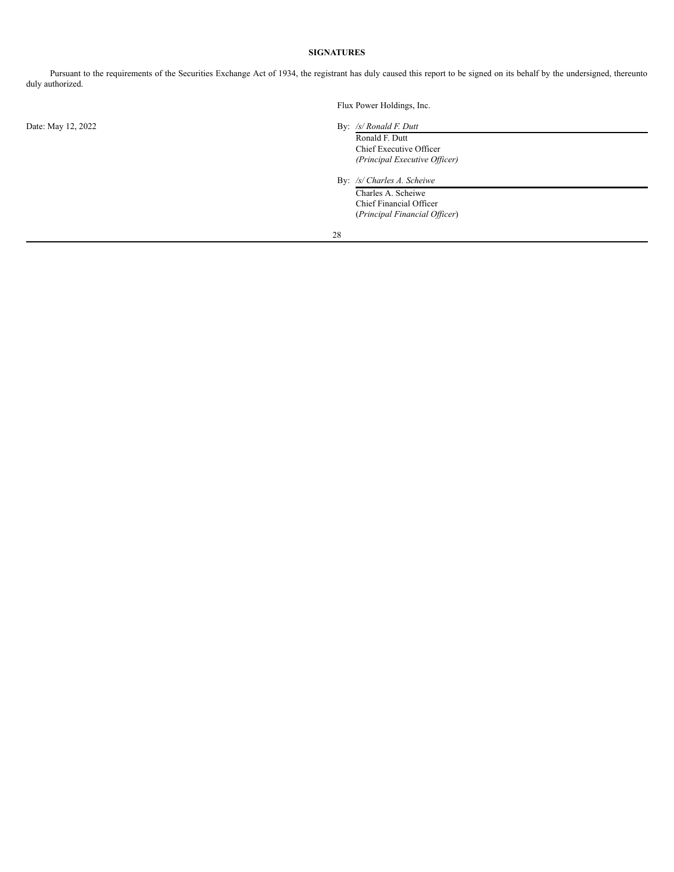# **SIGNATURES**

<span id="page-27-0"></span>Pursuant to the requirements of the Securities Exchange Act of 1934, the registrant has duly caused this report to be signed on its behalf by the undersigned, thereunto duly authorized.

Date: May 12, 2022

Flux Power Holdings, Inc.

Chief Financial Officer (*Principal Financial Of icer*)

| By: /s/ Ronald F. Dutt        |
|-------------------------------|
| Ronald F. Dutt                |
| Chief Executive Officer       |
| (Principal Executive Officer) |
| By: /s/ Charles A. Scheiwe    |
| Charles A. Scheiwe            |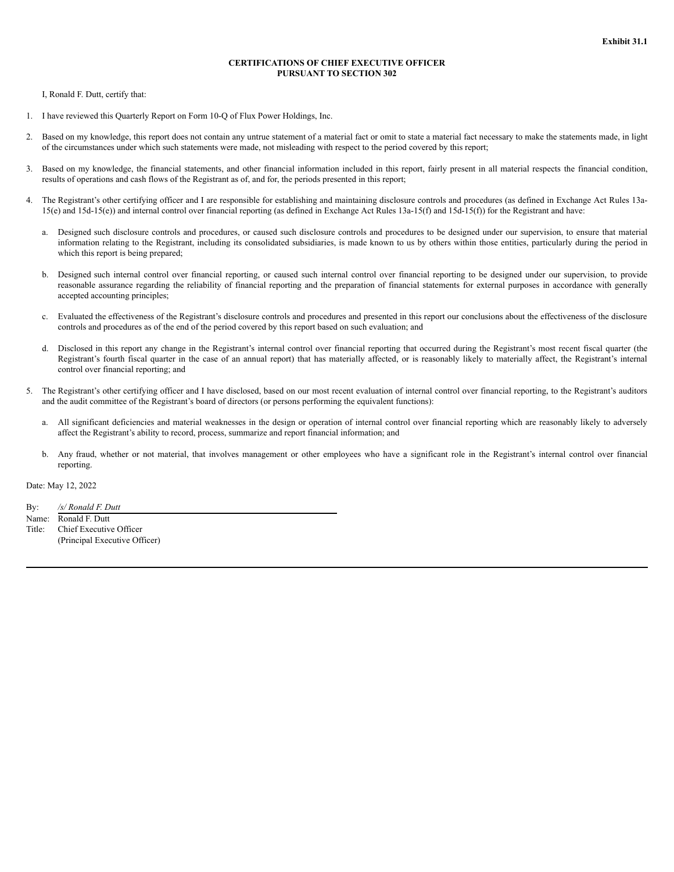# **CERTIFICATIONS OF CHIEF EXECUTIVE OFFICER PURSUANT TO SECTION 302**

I, Ronald F. Dutt, certify that:

- 1. I have reviewed this Quarterly Report on Form 10-Q of Flux Power Holdings, Inc.
- Based on my knowledge, this report does not contain any untrue statement of a material fact or omit to state a material fact necessary to make the statements made, in light of the circumstances under which such statements were made, not misleading with respect to the period covered by this report;
- 3. Based on my knowledge, the financial statements, and other financial information included in this report, fairly present in all material respects the financial condition, results of operations and cash flows of the Registrant as of, and for, the periods presented in this report;
- The Registrant's other certifying officer and I are responsible for establishing and maintaining disclosure controls and procedures (as defined in Exchange Act Rules 13a-15(e) and 15d-15(e)) and internal control over financial reporting (as defined in Exchange Act Rules 13a-15(f) and 15d-15(f)) for the Registrant and have:
	- a. Designed such disclosure controls and procedures, or caused such disclosure controls and procedures to be designed under our supervision, to ensure that material information relating to the Registrant, including its consolidated subsidiaries, is made known to us by others within those entities, particularly during the period in which this report is being prepared;
	- b. Designed such internal control over financial reporting, or caused such internal control over financial reporting to be designed under our supervision, to provide reasonable assurance regarding the reliability of financial reporting and the preparation of financial statements for external purposes in accordance with generally accepted accounting principles;
	- c. Evaluated the effectiveness of the Registrant's disclosure controls and procedures and presented in this report our conclusions about the effectiveness of the disclosure controls and procedures as of the end of the period covered by this report based on such evaluation; and
	- d. Disclosed in this report any change in the Registrant's internal control over financial reporting that occurred during the Registrant's most recent fiscal quarter (the Registrant's fourth fiscal quarter in the case of an annual report) that has materially affected, or is reasonably likely to materially affect, the Registrant's internal control over financial reporting; and
- 5. The Registrant's other certifying officer and I have disclosed, based on our most recent evaluation of internal control over financial reporting, to the Registrant's auditors and the audit committee of the Registrant's board of directors (or persons performing the equivalent functions):
	- a. All significant deficiencies and material weaknesses in the design or operation of internal control over financial reporting which are reasonably likely to adversely affect the Registrant's ability to record, process, summarize and report financial information; and
	- b. Any fraud, whether or not material, that involves management or other employees who have a significant role in the Registrant's internal control over financial reporting.

Date: May 12, 2022

By: */s/ Ronald F. Dutt*

Name: Ronald F. Dutt Title: Chief Executive Officer (Principal Executive Officer)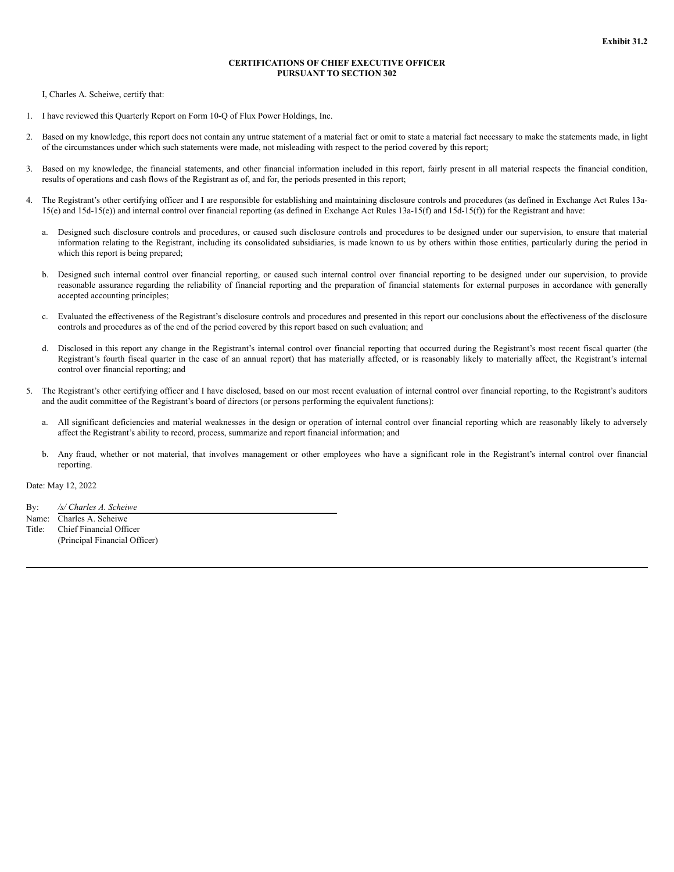## **CERTIFICATIONS OF CHIEF EXECUTIVE OFFICER PURSUANT TO SECTION 302**

I, Charles A. Scheiwe, certify that:

- 1. I have reviewed this Quarterly Report on Form 10-Q of Flux Power Holdings, Inc.
- Based on my knowledge, this report does not contain any untrue statement of a material fact or omit to state a material fact necessary to make the statements made, in light of the circumstances under which such statements were made, not misleading with respect to the period covered by this report;
- 3. Based on my knowledge, the financial statements, and other financial information included in this report, fairly present in all material respects the financial condition, results of operations and cash flows of the Registrant as of, and for, the periods presented in this report;
- The Registrant's other certifying officer and I are responsible for establishing and maintaining disclosure controls and procedures (as defined in Exchange Act Rules 13a-15(e) and 15d-15(e)) and internal control over financial reporting (as defined in Exchange Act Rules 13a-15(f) and 15d-15(f)) for the Registrant and have:
	- a. Designed such disclosure controls and procedures, or caused such disclosure controls and procedures to be designed under our supervision, to ensure that material information relating to the Registrant, including its consolidated subsidiaries, is made known to us by others within those entities, particularly during the period in which this report is being prepared;
	- b. Designed such internal control over financial reporting, or caused such internal control over financial reporting to be designed under our supervision, to provide reasonable assurance regarding the reliability of financial reporting and the preparation of financial statements for external purposes in accordance with generally accepted accounting principles;
	- c. Evaluated the effectiveness of the Registrant's disclosure controls and procedures and presented in this report our conclusions about the effectiveness of the disclosure controls and procedures as of the end of the period covered by this report based on such evaluation; and
	- d. Disclosed in this report any change in the Registrant's internal control over financial reporting that occurred during the Registrant's most recent fiscal quarter (the Registrant's fourth fiscal quarter in the case of an annual report) that has materially affected, or is reasonably likely to materially affect, the Registrant's internal control over financial reporting; and
- 5. The Registrant's other certifying officer and I have disclosed, based on our most recent evaluation of internal control over financial reporting, to the Registrant's auditors and the audit committee of the Registrant's board of directors (or persons performing the equivalent functions):
	- a. All significant deficiencies and material weaknesses in the design or operation of internal control over financial reporting which are reasonably likely to adversely affect the Registrant's ability to record, process, summarize and report financial information; and
	- b. Any fraud, whether or not material, that involves management or other employees who have a significant role in the Registrant's internal control over financial reporting.

Date: May 12, 2022

By: */s/ Charles A. Scheiwe*

Name: Charles A. Scheiwe Title: Chief Financial Officer (Principal Financial Officer)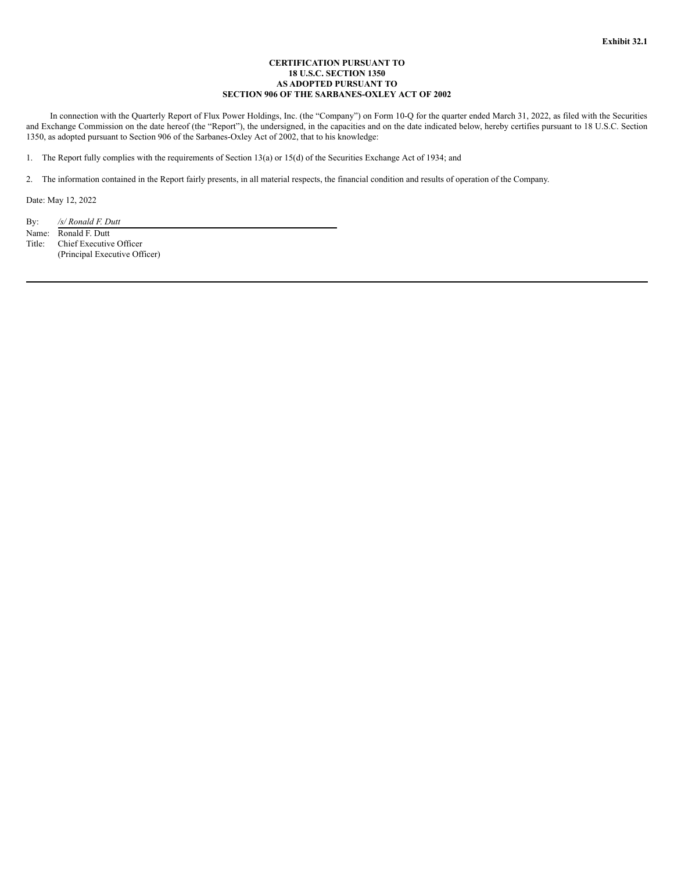# **CERTIFICATION PURSUANT TO 18 U.S.C. SECTION 1350 AS ADOPTED PURSUANT TO SECTION 906 OF THE SARBANES-OXLEY ACT OF 2002**

In connection with the Quarterly Report of Flux Power Holdings, Inc. (the "Company") on Form 10-Q for the quarter ended March 31, 2022, as filed with the Securities and Exchange Commission on the date hereof (the "Report"), the undersigned, in the capacities and on the date indicated below, hereby certifies pursuant to 18 U.S.C. Section 1350, as adopted pursuant to Section 906 of the Sarbanes-Oxley Act of 2002, that to his knowledge:

1. The Report fully complies with the requirements of Section 13(a) or 15(d) of the Securities Exchange Act of 1934; and

2. The information contained in the Report fairly presents, in all material respects, the financial condition and results of operation of the Company.

Date: May 12, 2022

By: */s/ Ronald F. Dutt*

Name: Ronald F. Dutt

Title: Chief Executive Officer (Principal Executive Officer)